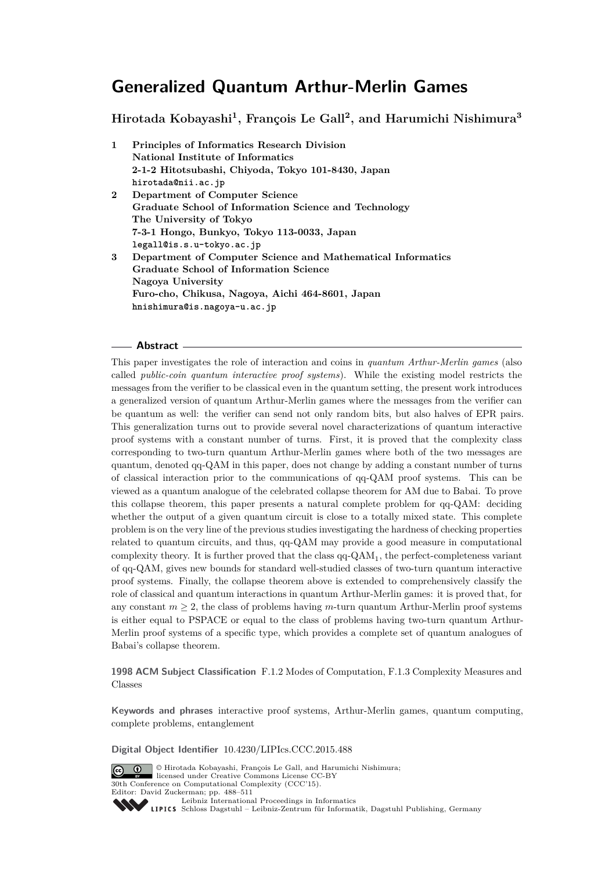**Hirotada Kobayashi<sup>1</sup> , François Le Gall<sup>2</sup> , and Harumichi Nishimura<sup>3</sup>**

| 1          | <b>Principles of Informatics Research Division</b>          |
|------------|-------------------------------------------------------------|
|            | National Institute of Informatics                           |
|            | 2-1-2 Hitotsubashi, Chiyoda, Tokyo 101-8430, Japan          |
|            | hirotada@nii.ac.jp                                          |
| $\bf{2}^-$ | Department of Computer Science                              |
|            | Graduate School of Information Science and Technology       |
|            | The University of Tokyo                                     |
|            | 7-3-1 Hongo, Bunkyo, Tokyo 113-0033, Japan                  |
|            | legall@is.s.u-tokyo.ac.jp                                   |
| 3          | Department of Computer Science and Mathematical Informatics |
|            | Graduate School of Information Science                      |
|            | Nagoya University                                           |
|            | Furo-cho, Chikusa, Nagoya, Aichi 464-8601, Japan            |
|            | hnishimura@is.nagoya-u.ac.jp                                |

### **Abstract**

This paper investigates the role of interaction and coins in *quantum Arthur-Merlin games* (also called *public-coin quantum interactive proof systems*). While the existing model restricts the messages from the verifier to be classical even in the quantum setting, the present work introduces a generalized version of quantum Arthur-Merlin games where the messages from the verifier can be quantum as well: the verifier can send not only random bits, but also halves of EPR pairs. This generalization turns out to provide several novel characterizations of quantum interactive proof systems with a constant number of turns. First, it is proved that the complexity class corresponding to two-turn quantum Arthur-Merlin games where both of the two messages are quantum, denoted qq-QAM in this paper, does not change by adding a constant number of turns of classical interaction prior to the communications of qq-QAM proof systems. This can be viewed as a quantum analogue of the celebrated collapse theorem for AM due to Babai. To prove this collapse theorem, this paper presents a natural complete problem for qq-QAM: deciding whether the output of a given quantum circuit is close to a totally mixed state. This complete problem is on the very line of the previous studies investigating the hardness of checking properties related to quantum circuits, and thus, qq-QAM may provide a good measure in computational complexity theory. It is further proved that the class  $qq-QAM_1$ , the perfect-completeness variant of qq-QAM, gives new bounds for standard well-studied classes of two-turn quantum interactive proof systems. Finally, the collapse theorem above is extended to comprehensively classify the role of classical and quantum interactions in quantum Arthur-Merlin games: it is proved that, for any constant  $m \geq 2$ , the class of problems having *m*-turn quantum Arthur-Merlin proof systems is either equal to PSPACE or equal to the class of problems having two-turn quantum Arthur-Merlin proof systems of a specific type, which provides a complete set of quantum analogues of Babai's collapse theorem.

**1998 ACM Subject Classification** F.1.2 Modes of Computation, F.1.3 Complexity Measures and Classes

**Keywords and phrases** interactive proof systems, Arthur-Merlin games, quantum computing, complete problems, entanglement

**Digital Object Identifier** [10.4230/LIPIcs.CCC.2015.488](http://dx.doi.org/10.4230/LIPIcs.CCC.2015.488)



© Hirotada Kobayashi, François Le Gall, and Harumichi Nishimura;  $\boxed{6}$   $\boxed{0}$ licensed under Creative Commons License CC-BY 30th Conference on Computational Complexity (CCC'15). Editor: David Zuckerman; pp. 488[–511](#page-23-0) [Leibniz International Proceedings in Informatics](http://www.dagstuhl.de/lipics/)

Leibniz International Froceedings in miximizers<br>
LIPICS [Schloss Dagstuhl – Leibniz-Zentrum für Informatik, Dagstuhl Publishing, Germany](http://www.dagstuhl.de)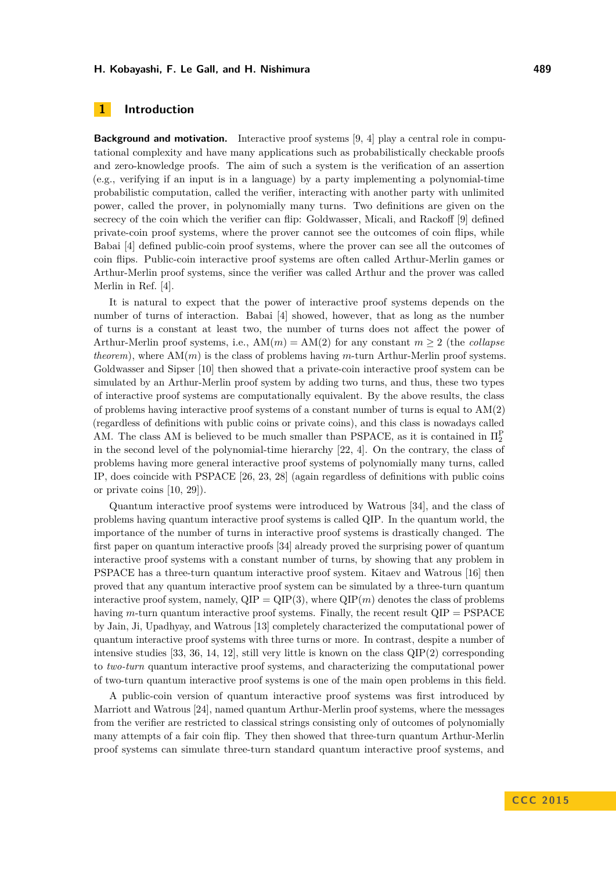## <span id="page-1-0"></span>**1 Introduction**

**Background and motivation.** Interactive proof systems [\[9,](#page-20-0) [4\]](#page-20-1) play a central role in computational complexity and have many applications such as probabilistically checkable proofs and zero-knowledge proofs. The aim of such a system is the verification of an assertion (e.g., verifying if an input is in a language) by a party implementing a polynomial-time probabilistic computation, called the verifier, interacting with another party with unlimited power, called the prover, in polynomially many turns. Two definitions are given on the secrecy of the coin which the verifier can flip: Goldwasser, Micali, and Rackoff [\[9\]](#page-20-0) defined private-coin proof systems, where the prover cannot see the outcomes of coin flips, while Babai [\[4\]](#page-20-1) defined public-coin proof systems, where the prover can see all the outcomes of coin flips. Public-coin interactive proof systems are often called Arthur-Merlin games or Arthur-Merlin proof systems, since the verifier was called Arthur and the prover was called Merlin in Ref. [\[4\]](#page-20-1).

It is natural to expect that the power of interactive proof systems depends on the number of turns of interaction. Babai [\[4\]](#page-20-1) showed, however, that as long as the number of turns is a constant at least two, the number of turns does not affect the power of Arthur-Merlin proof systems, i.e.,  $AM(m) = AM(2)$  for any constant  $m \geq 2$  (the *collapse theorem*), where AM(*m*) is the class of problems having *m*-turn Arthur-Merlin proof systems. Goldwasser and Sipser [\[10\]](#page-20-2) then showed that a private-coin interactive proof system can be simulated by an Arthur-Merlin proof system by adding two turns, and thus, these two types of interactive proof systems are computationally equivalent. By the above results, the class of problems having interactive proof systems of a constant number of turns is equal to  $AM(2)$ (regardless of definitions with public coins or private coins), and this class is nowadays called AM. The class AM is believed to be much smaller than PSPACE, as it is contained in  $\Pi_2^{\rm P}$ in the second level of the polynomial-time hierarchy [\[22,](#page-21-0) [4\]](#page-20-1). On the contrary, the class of problems having more general interactive proof systems of polynomially many turns, called IP, does coincide with PSPACE [\[26,](#page-21-1) [23,](#page-21-2) [28\]](#page-21-3) (again regardless of definitions with public coins or private coins [\[10,](#page-20-2) [29\]](#page-21-4)).

Quantum interactive proof systems were introduced by Watrous [\[34\]](#page-22-0), and the class of problems having quantum interactive proof systems is called QIP. In the quantum world, the importance of the number of turns in interactive proof systems is drastically changed. The first paper on quantum interactive proofs [\[34\]](#page-22-0) already proved the surprising power of quantum interactive proof systems with a constant number of turns, by showing that any problem in PSPACE has a three-turn quantum interactive proof system. Kitaev and Watrous [\[16\]](#page-21-5) then proved that any quantum interactive proof system can be simulated by a three-turn quantum interactive proof system, namely,  $QIP = QIP(3)$ , where  $QIP(m)$  denotes the class of problems having *m*-turn quantum interactive proof systems. Finally, the recent result QIP = PSPACE by Jain, Ji, Upadhyay, and Watrous [\[13\]](#page-21-6) completely characterized the computational power of quantum interactive proof systems with three turns or more. In contrast, despite a number of intensive studies  $[33, 36, 14, 12]$  $[33, 36, 14, 12]$  $[33, 36, 14, 12]$  $[33, 36, 14, 12]$  $[33, 36, 14, 12]$  $[33, 36, 14, 12]$  $[33, 36, 14, 12]$ , still very little is known on the class  $QIP(2)$  corresponding to *two-turn* quantum interactive proof systems, and characterizing the computational power of two-turn quantum interactive proof systems is one of the main open problems in this field.

A public-coin version of quantum interactive proof systems was first introduced by Marriott and Watrous [\[24\]](#page-21-9), named quantum Arthur-Merlin proof systems, where the messages from the verifier are restricted to classical strings consisting only of outcomes of polynomially many attempts of a fair coin flip. They then showed that three-turn quantum Arthur-Merlin proof systems can simulate three-turn standard quantum interactive proof systems, and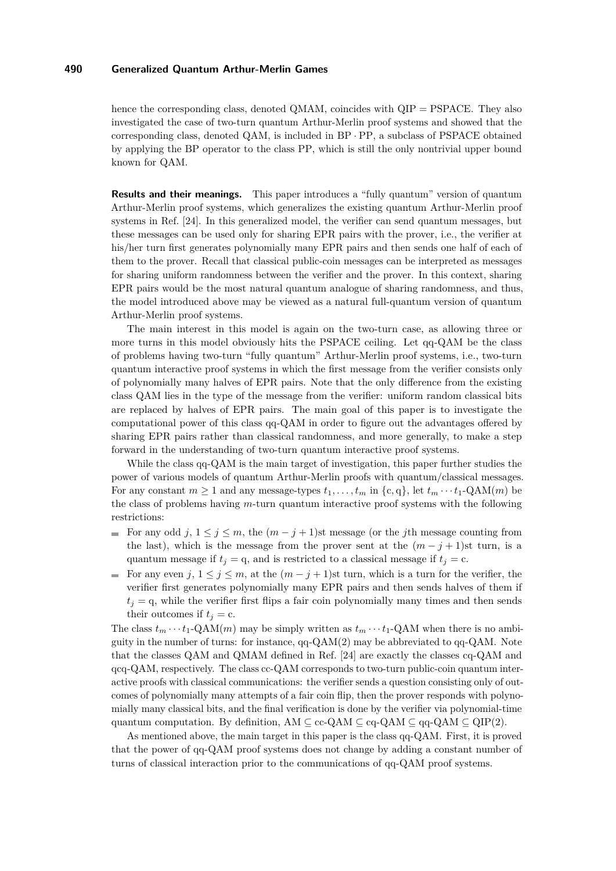hence the corresponding class, denoted QMAM, coincides with  $QIP = PSPACE$ . They also investigated the case of two-turn quantum Arthur-Merlin proof systems and showed that the corresponding class, denoted QAM, is included in BP · PP, a subclass of PSPACE obtained by applying the BP operator to the class PP, which is still the only nontrivial upper bound known for QAM.

**Results and their meanings.** This paper introduces a "fully quantum" version of quantum Arthur-Merlin proof systems, which generalizes the existing quantum Arthur-Merlin proof systems in Ref. [\[24\]](#page-21-9). In this generalized model, the verifier can send quantum messages, but these messages can be used only for sharing EPR pairs with the prover, i.e., the verifier at his/her turn first generates polynomially many EPR pairs and then sends one half of each of them to the prover. Recall that classical public-coin messages can be interpreted as messages for sharing uniform randomness between the verifier and the prover. In this context, sharing EPR pairs would be the most natural quantum analogue of sharing randomness, and thus, the model introduced above may be viewed as a natural full-quantum version of quantum Arthur-Merlin proof systems.

The main interest in this model is again on the two-turn case, as allowing three or more turns in this model obviously hits the PSPACE ceiling. Let qq-QAM be the class of problems having two-turn "fully quantum" Arthur-Merlin proof systems, i.e., two-turn quantum interactive proof systems in which the first message from the verifier consists only of polynomially many halves of EPR pairs. Note that the only difference from the existing class QAM lies in the type of the message from the verifier: uniform random classical bits are replaced by halves of EPR pairs. The main goal of this paper is to investigate the computational power of this class qq-QAM in order to figure out the advantages offered by sharing EPR pairs rather than classical randomness, and more generally, to make a step forward in the understanding of two-turn quantum interactive proof systems.

While the class qq-QAM is the main target of investigation, this paper further studies the power of various models of quantum Arthur-Merlin proofs with quantum/classical messages. For any constant  $m \ge 1$  and any message-types  $t_1, \ldots, t_m$  in  $\{c, q\}$ , let  $t_m \cdots t_1$ -QAM $(m)$  be the class of problems having *m*-turn quantum interactive proof systems with the following restrictions:

- For any odd *j*,  $1 \leq j \leq m$ , the  $(m j + 1)$ st message (or the *j*th message counting from the last), which is the message from the prover sent at the  $(m - j + 1)$ st turn, is a quantum message if  $t_j = q$ , and is restricted to a classical message if  $t_j = c$ .
- For any even  $j, 1 \leq j \leq m$ , at the  $(m j + 1)$ st turn, which is a turn for the verifier, the verifier first generates polynomially many EPR pairs and then sends halves of them if  $t_i = q$ , while the verifier first flips a fair coin polynomially many times and then sends their outcomes if  $t_i = c$ .

The class  $t_m \cdots t_1$ -QAM $(m)$  may be simply written as  $t_m \cdots t_1$ -QAM when there is no ambiguity in the number of turns: for instance,  $qq-QAM(2)$  may be abbreviated to  $qq-QAM$ . Note that the classes QAM and QMAM defined in Ref. [\[24\]](#page-21-9) are exactly the classes cq-QAM and qcq-QAM, respectively. The class cc-QAM corresponds to two-turn public-coin quantum interactive proofs with classical communications: the verifier sends a question consisting only of outcomes of polynomially many attempts of a fair coin flip, then the prover responds with polynomially many classical bits, and the final verification is done by the verifier via polynomial-time quantum computation. By definition, AM  $\subseteq$  cc-QAM  $\subseteq$  cq-QAM  $\subseteq$  qq-QAM  $\subseteq$  QIP(2).

As mentioned above, the main target in this paper is the class qq-QAM. First, it is proved that the power of qq-QAM proof systems does not change by adding a constant number of turns of classical interaction prior to the communications of qq-QAM proof systems.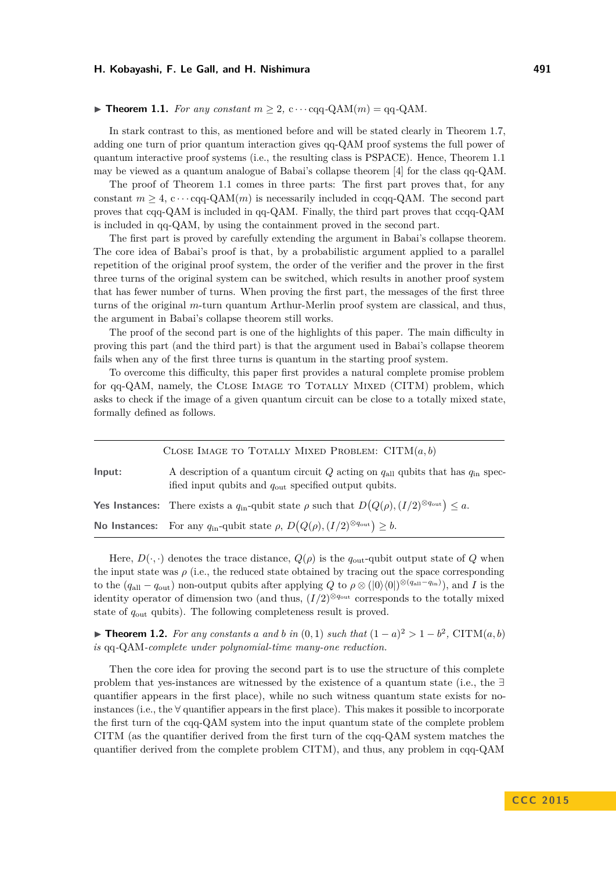#### <span id="page-3-0"></span> $\blacktriangleright$  **Theorem 1.1.** For any constant  $m \geq 2$ , c  $\cdots$  cqq-QAM(*m*) = qq-QAM.

In stark contrast to this, as mentioned before and will be stated clearly in Theorem [1.7,](#page-5-0) adding one turn of prior quantum interaction gives qq-QAM proof systems the full power of quantum interactive proof systems (i.e., the resulting class is PSPACE). Hence, Theorem [1.1](#page-3-0) may be viewed as a quantum analogue of Babai's collapse theorem [\[4\]](#page-20-1) for the class qq-QAM.

The proof of Theorem [1.1](#page-3-0) comes in three parts: The first part proves that, for any constant  $m \geq 4$ ,  $c \cdots$  cqq-QAM $(m)$  is necessarily included in ccqq-QAM. The second part proves that cqq-QAM is included in qq-QAM. Finally, the third part proves that ccqq-QAM is included in qq-QAM, by using the containment proved in the second part.

The first part is proved by carefully extending the argument in Babai's collapse theorem. The core idea of Babai's proof is that, by a probabilistic argument applied to a parallel repetition of the original proof system, the order of the verifier and the prover in the first three turns of the original system can be switched, which results in another proof system that has fewer number of turns. When proving the first part, the messages of the first three turns of the original *m*-turn quantum Arthur-Merlin proof system are classical, and thus, the argument in Babai's collapse theorem still works.

The proof of the second part is one of the highlights of this paper. The main difficulty in proving this part (and the third part) is that the argument used in Babai's collapse theorem fails when any of the first three turns is quantum in the starting proof system.

To overcome this difficulty, this paper first provides a natural complete promise problem for qq-QAM, namely, the CLOSE IMAGE TO TOTALLY MIXED (CITM) problem, which asks to check if the image of a given quantum circuit can be close to a totally mixed state, formally defined as follows.

|        | CLOSE IMAGE TO TOTALLY MIXED PROBLEM: $CITM(a, b)$                                                                                                          |
|--------|-------------------------------------------------------------------------------------------------------------------------------------------------------------|
| Input: | A description of a quantum circuit Q acting on $q_{all}$ qubits that has $q_{in}$ spec-<br>ified input qubits and $q_{\text{out}}$ specified output qubits. |
|        | <b>Yes Instances:</b> There exists a $q_{\text{in}}$ -qubit state $\rho$ such that $D(Q(\rho), (I/2)^{\otimes q_{\text{out}}}) \leq a$ .                    |
|        | <b>No Instances:</b> For any $q_{\text{in}}$ -qubit state $\rho$ , $D(Q(\rho), (I/2)^{\otimes q_{\text{out}}}) \geq b$ .                                    |

Here,  $D(\cdot, \cdot)$  denotes the trace distance,  $Q(\rho)$  is the  $q_{\text{out}}$ -qubit output state of  $Q$  when the input state was  $\rho$  (i.e., the reduced state obtained by tracing out the space corresponding to the  $(q_{all} - q_{out})$  non-output qubits after applying  $Q$  to  $\rho \otimes (|0\rangle\langle 0|)^{\otimes (q_{all}-q_{in})}$ , and *I* is the identity operator of dimension two (and thus,  $(I/2)^{\otimes q_{\text{out}}}$  corresponds to the totally mixed state of *q*out qubits). The following completeness result is proved.

<span id="page-3-1"></span>▶ **Theorem 1.2.** *For any constants a and b in* (0, 1) *such that*  $(1 - a)^2 > 1 - b^2$ , CITM(*a, b*) *is* qq*-*QAM*-complete under polynomial-time many-one reduction.*

Then the core idea for proving the second part is to use the structure of this complete problem that yes-instances are witnessed by the existence of a quantum state (i.e., the ∃ quantifier appears in the first place), while no such witness quantum state exists for noinstances (i.e., the  $\forall$  quantifier appears in the first place). This makes it possible to incorporate the first turn of the cqq-QAM system into the input quantum state of the complete problem CITM (as the quantifier derived from the first turn of the cqq-QAM system matches the quantifier derived from the complete problem CITM), and thus, any problem in cqq-QAM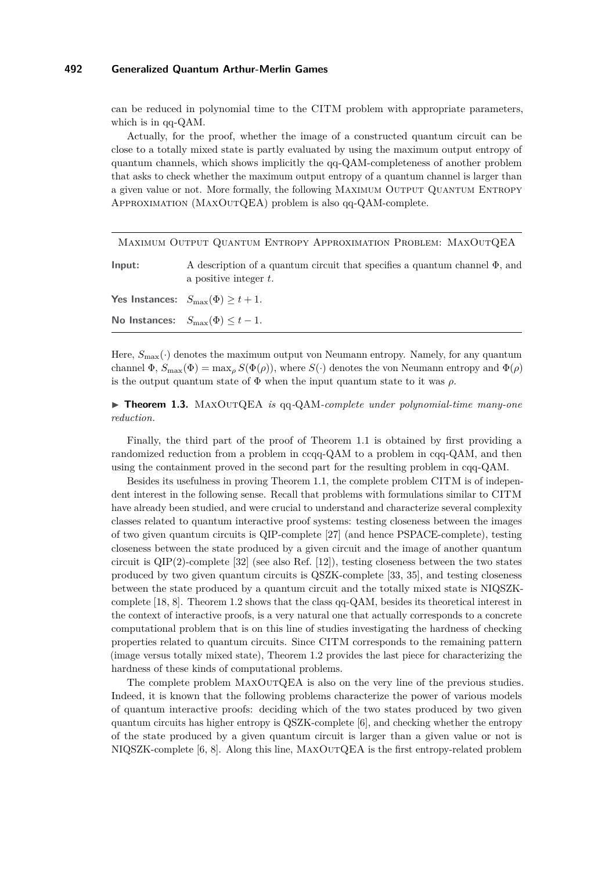can be reduced in polynomial time to the CITM problem with appropriate parameters, which is in qq-QAM.

Actually, for the proof, whether the image of a constructed quantum circuit can be close to a totally mixed state is partly evaluated by using the maximum output entropy of quantum channels, which shows implicitly the qq-QAM-completeness of another problem that asks to check whether the maximum output entropy of a quantum channel is larger than a given value or not. More formally, the following MAXIMUM OUTPUT QUANTUM ENTROPY Approximation (MaxOutQEA) problem is also qq-QAM-complete.

|        | MAXIMUM OUTPUT QUANTUM ENTROPY APPROXIMATION PROBLEM: MAXOUTQEA                                              |
|--------|--------------------------------------------------------------------------------------------------------------|
| Input: | A description of a quantum circuit that specifies a quantum channel $\Phi$ , and<br>a positive integer $t$ . |
|        | <b>Yes Instances:</b> $S_{\text{max}}(\Phi) \geq t + 1$ .                                                    |
|        | No Instances: $S_{\text{max}}(\Phi) \leq t-1$ .                                                              |

Here,  $S_{\text{max}}(\cdot)$  denotes the maximum output von Neumann entropy. Namely, for any quantum channel  $\Phi$ ,  $S_{\text{max}}(\Phi) = \max_{\rho} S(\Phi(\rho))$ , where  $S(\cdot)$  denotes the von Neumann entropy and  $\Phi(\rho)$ is the output quantum state of  $\Phi$  when the input quantum state to it was  $\rho$ .

<span id="page-4-0"></span>▶ **Theorem 1.3.** MAXOUTQEA *is* qq-QAM-complete under polynomial-time many-one *reduction.*

Finally, the third part of the proof of Theorem [1.1](#page-3-0) is obtained by first providing a randomized reduction from a problem in ccqq-QAM to a problem in cqq-QAM, and then using the containment proved in the second part for the resulting problem in cqq-QAM.

Besides its usefulness in proving Theorem [1.1,](#page-3-0) the complete problem CITM is of independent interest in the following sense. Recall that problems with formulations similar to CITM have already been studied, and were crucial to understand and characterize several complexity classes related to quantum interactive proof systems: testing closeness between the images of two given quantum circuits is QIP-complete [\[27\]](#page-21-10) (and hence PSPACE-complete), testing closeness between the state produced by a given circuit and the image of another quantum circuit is QIP(2)-complete [\[32\]](#page-22-3) (see also Ref. [\[12\]](#page-21-8)), testing closeness between the two states produced by two given quantum circuits is QSZK-complete [\[33,](#page-22-1) [35\]](#page-22-4), and testing closeness between the state produced by a quantum circuit and the totally mixed state is NIQSZKcomplete [\[18,](#page-21-11) [8\]](#page-20-3). Theorem [1.2](#page-3-1) shows that the class qq-QAM, besides its theoretical interest in the context of interactive proofs, is a very natural one that actually corresponds to a concrete computational problem that is on this line of studies investigating the hardness of checking properties related to quantum circuits. Since CITM corresponds to the remaining pattern (image versus totally mixed state), Theorem [1.2](#page-3-1) provides the last piece for characterizing the hardness of these kinds of computational problems.

The complete problem  $MAXOUTQEA$  is also on the very line of the previous studies. Indeed, it is known that the following problems characterize the power of various models of quantum interactive proofs: deciding which of the two states produced by two given quantum circuits has higher entropy is QSZK-complete [\[6\]](#page-20-4), and checking whether the entropy of the state produced by a given quantum circuit is larger than a given value or not is NIQSZK-complete [\[6,](#page-20-4) [8\]](#page-20-3). Along this line, MaxOutQEA is the first entropy-related problem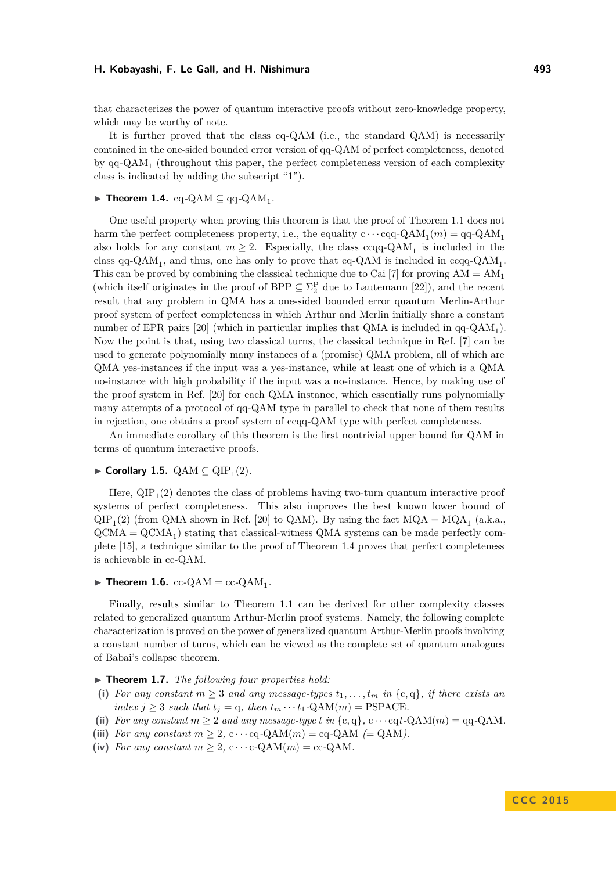that characterizes the power of quantum interactive proofs without zero-knowledge property, which may be worthy of note.

It is further proved that the class cq-QAM (i.e., the standard QAM) is necessarily contained in the one-sided bounded error version of qq-QAM of perfect completeness, denoted by qq-QAM<sub>1</sub> (throughout this paper, the perfect completeness version of each complexity class is indicated by adding the subscript "1").

## <span id="page-5-1"></span> $\blacktriangleright$  **Theorem 1.4.** cq-QAM  $\subseteq$  qq-QAM<sub>1</sub>.

One useful property when proving this theorem is that the proof of Theorem [1.1](#page-3-0) does not harm the perfect completeness property, i.e., the equality  $c \cdots cqq$ -QAM<sub>1</sub> $(m) = qq$ -QAM<sub>1</sub> also holds for any constant  $m \geq 2$ . Especially, the class ccqq-QAM<sub>1</sub> is included in the class qq-QAM<sub>1</sub>, and thus, one has only to prove that cq-QAM is included in ccqq-QAM<sub>1</sub>. This can be proved by combining the classical technique due to Cai [\[7\]](#page-20-5) for proving  $AM = AM_1$ (which itself originates in the proof of BPP  $\subseteq \Sigma_2^{\mathcal{P}}$  due to Lautemann [\[22\]](#page-21-0)), and the recent result that any problem in QMA has a one-sided bounded error quantum Merlin-Arthur proof system of perfect completeness in which Arthur and Merlin initially share a constant number of EPR pairs  $[20]$  (which in particular implies that QMA is included in  $qq\text{-}QAM_1$ ). Now the point is that, using two classical turns, the classical technique in Ref. [\[7\]](#page-20-5) can be used to generate polynomially many instances of a (promise) QMA problem, all of which are QMA yes-instances if the input was a yes-instance, while at least one of which is a QMA no-instance with high probability if the input was a no-instance. Hence, by making use of the proof system in Ref. [\[20\]](#page-21-12) for each QMA instance, which essentially runs polynomially many attempts of a protocol of qq-QAM type in parallel to check that none of them results in rejection, one obtains a proof system of ccqq-QAM type with perfect completeness.

An immediate corollary of this theorem is the first nontrivial upper bound for QAM in terms of quantum interactive proofs.

## $\blacktriangleright$  **Corollary 1.5.** QAM  $\subseteq$  QIP<sub>1</sub>(2).

Here,  $\text{QIP}_1(2)$  denotes the class of problems having two-turn quantum interactive proof systems of perfect completeness. This also improves the best known lower bound of  $QIP_1(2)$  (from QMA shown in Ref. [\[20\]](#page-21-12) to QAM). By using the fact  $MQA = MQA_1$  (a.k.a.,  $\text{QCMA} = \text{QCMA}_1$ ) stating that classical-witness QMA systems can be made perfectly complete [\[15\]](#page-21-13), a technique similar to the proof of Theorem [1.4](#page-5-1) proves that perfect completeness is achievable in cc-QAM.

## <span id="page-5-2"></span> $\blacktriangleright$  **Theorem 1.6.** cc-QAM = cc-QAM<sub>1</sub>.

Finally, results similar to Theorem [1.1](#page-3-0) can be derived for other complexity classes related to generalized quantum Arthur-Merlin proof systems. Namely, the following complete characterization is proved on the power of generalized quantum Arthur-Merlin proofs involving a constant number of turns, which can be viewed as the complete set of quantum analogues of Babai's collapse theorem.

▶ **Theorem 1.7.** *The following four properties hold:* 

- (i) For any constant  $m \geq 3$  and any message-types  $t_1, \ldots, t_m$  in  $\{c, q\}$ , if there exists an *index*  $j \geq 3$  *such that*  $t_j = q$ *, then*  $t_m \cdots t_1$ -QAM $(m)$  = PSPACE*.*
- (ii) *For any constant*  $m \geq 2$  *and any message-type t in* {c, q}, c · · · cqt*-*QAM(*m*) = qq*-*QAM.
- (iii) *For any constant*  $m > 2$ ,  $c \cdots cq$ -QAM $(m) = cq$ -QAM $(= QAM)$ .
- <span id="page-5-0"></span>(iv) *For any constant*  $m \geq 2$ ,  $c \cdots c$ *-*QAM $(m) = cc$ -QAM*.*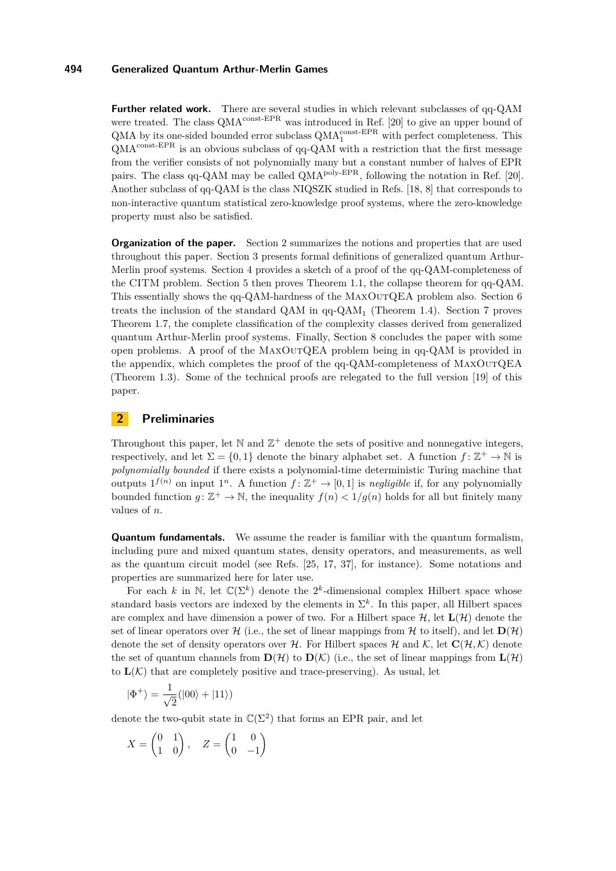**Further related work.** There are several studies in which relevant subclasses of qq-QAM were treated. The class  $QMA^{\text{const-EPR}}$  was introduced in Ref. [\[20\]](#page-21-12) to give an upper bound of  $\text{QMA}$  by its one-sided bounded error subclass  $\text{QMA}_1^{\text{const-EPR}}$  with perfect completeness. This  $\mathbf{QMA}^{\text{const-EPR}}$  is an obvious subclass of qq-QAM with a restriction that the first message from the verifier consists of not polynomially many but a constant number of halves of EPR pairs. The class qq-QAM may be called  $\dot{Q}$ MA<sup>poly-EPR</sup>, following the notation in Ref. [\[20\]](#page-21-12). Another subclass of qq-QAM is the class NIQSZK studied in Refs. [\[18,](#page-21-11) [8\]](#page-20-3) that corresponds to non-interactive quantum statistical zero-knowledge proof systems, where the zero-knowledge property must also be satisfied.

**Organization of the paper.** Section [2](#page-6-0) summarizes the notions and properties that are used throughout this paper. Section [3](#page-8-0) presents formal definitions of generalized quantum Arthur-Merlin proof systems. Section [4](#page-11-0) provides a sketch of a proof of the qq-QAM-completeness of the CITM problem. Section [5](#page-13-0) then proves Theorem [1.1,](#page-3-0) the collapse theorem for qq-QAM. This essentially shows the qq-QAM-hardness of the MaxOutQEA problem also. Section [6](#page-17-0) treats the inclusion of the standard QAM in  $qq-QAM_1$  (Theorem [1.4\)](#page-5-1). Section [7](#page-18-0) proves Theorem [1.7,](#page-5-0) the complete classification of the complexity classes derived from generalized quantum Arthur-Merlin proof systems. Finally, Section [8](#page-19-0) concludes the paper with some open problems. A proof of the MaxOutQEA problem being in qq-QAM is provided in the appendix, which completes the proof of the qq-QAM-completeness of MaxOutQEA (Theorem [1.3\)](#page-4-0). Some of the technical proofs are relegated to the full version [\[19\]](#page-21-14) of this paper.

## <span id="page-6-0"></span>**2 Preliminaries**

Throughout this paper, let  $\mathbb N$  and  $\mathbb Z^+$  denote the sets of positive and nonnegative integers, respectively, and let  $\Sigma = \{0,1\}$  denote the binary alphabet set. A function  $f: \mathbb{Z}^+ \to \mathbb{N}$  is *polynomially bounded* if there exists a polynomial-time deterministic Turing machine that outputs  $1^{f(n)}$  on input  $1^n$ . A function  $f: \mathbb{Z}^+ \to [0,1]$  is *negligible* if, for any polynomially bounded function  $g: \mathbb{Z}^+ \to \mathbb{N}$ , the inequality  $f(n) < 1/g(n)$  holds for all but finitely many values of *n*.

**Quantum fundamentals.** We assume the reader is familiar with the quantum formalism, including pure and mixed quantum states, density operators, and measurements, as well as the quantum circuit model (see Refs. [\[25,](#page-21-15) [17,](#page-21-16) [37\]](#page-22-5), for instance). Some notations and properties are summarized here for later use.

For each *k* in N, let  $\mathbb{C}(\Sigma^k)$  denote the  $2^k$ -dimensional complex Hilbert space whose standard basis vectors are indexed by the elements in  $\Sigma^k$ . In this paper, all Hilbert spaces are complex and have dimension a power of two. For a Hilbert space  $\mathcal{H}$ , let  $\mathbf{L}(\mathcal{H})$  denote the set of linear operators over H (i.e., the set of linear mappings from H to itself), and let  $D(H)$ denote the set of density operators over H. For Hilbert spaces H and K, let  $\mathbf{C}(\mathcal{H},\mathcal{K})$  denote the set of quantum channels from  $\mathbf{D}(\mathcal{H})$  to  $\mathbf{D}(\mathcal{K})$  (i.e., the set of linear mappings from  $\mathbf{L}(\mathcal{H})$ to  $\mathbf{L}(\mathcal{K})$  that are completely positive and trace-preserving). As usual, let

$$
|\Phi^+\rangle=\frac{1}{\sqrt{2}}(|00\rangle+|11\rangle)
$$

denote the two-qubit state in  $\mathbb{C}(\Sigma^2)$  that forms an EPR pair, and let

$$
X = \begin{pmatrix} 0 & 1 \\ 1 & 0 \end{pmatrix}, \quad Z = \begin{pmatrix} 1 & 0 \\ 0 & -1 \end{pmatrix}
$$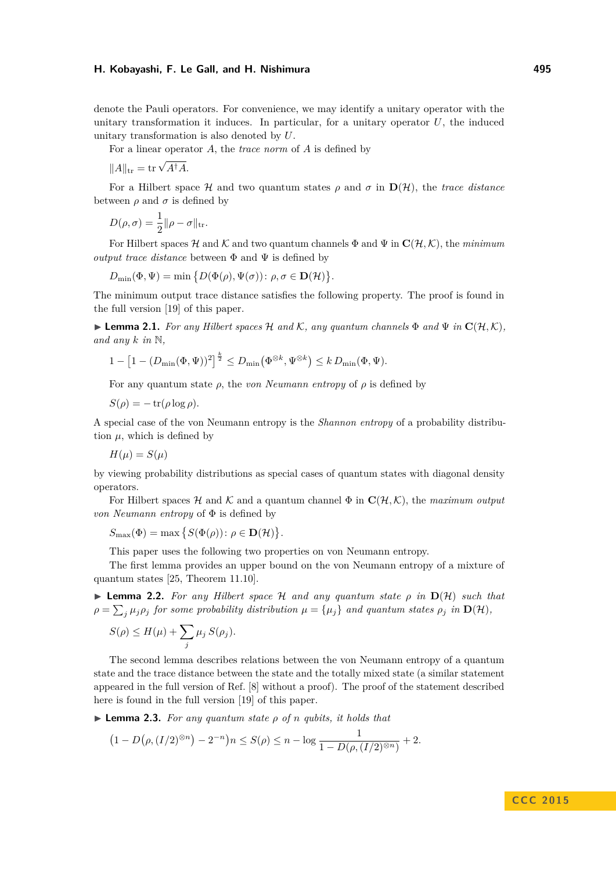denote the Pauli operators. For convenience, we may identify a unitary operator with the unitary transformation it induces. In particular, for a unitary operator *U*, the induced unitary transformation is also denoted by *U*.

For a linear operator *A*, the *trace norm* of *A* is defined by

 $||A||_{\text{tr}} = \text{tr} \sqrt{A^{\dagger} A}.$ 

For a Hilbert space  $\mathcal{H}$  and two quantum states  $\rho$  and  $\sigma$  in  $\mathbf{D}(\mathcal{H})$ , the *trace distance* between  $\rho$  and  $\sigma$  is defined by

$$
D(\rho, \sigma) = \frac{1}{2} ||\rho - \sigma||_{\text{tr}}.
$$

For Hilbert spaces H and K and two quantum channels  $\Phi$  and  $\Psi$  in  $\mathbf{C}(\mathcal{H},\mathcal{K})$ , the *minimum output trace distance* between  $\Phi$  and  $\Psi$  is defined by

$$
D_{\min}(\Phi, \Psi) = \min \{ D(\Phi(\rho), \Psi(\sigma)) : \rho, \sigma \in \mathbf{D}(\mathcal{H}) \}.
$$

The minimum output trace distance satisfies the following property. The proof is found in the full version [\[19\]](#page-21-14) of this paper.

<span id="page-7-0"></span> $\blacktriangleright$  **Lemma 2.1.** *For any Hilbert spaces* H *and* K, *any quantum channels*  $\Phi$  *and*  $\Psi$  *in*  $\mathbf{C}(\mathcal{H}, \mathcal{K})$ *, and any*  $k$  *in*  $\mathbb{N}$ *,* 

$$
1 - \left[1 - (D_{\min}(\Phi, \Psi))^2\right]^{\frac{k}{2}} \le D_{\min}(\Phi^{\otimes k}, \Psi^{\otimes k}) \le k D_{\min}(\Phi, \Psi).
$$

For any quantum state  $\rho$ , the *von Neumann entropy* of  $\rho$  is defined by

 $S(\rho) = -\operatorname{tr}(\rho \log \rho)$ .

A special case of the von Neumann entropy is the *Shannon entropy* of a probability distribution  $\mu$ , which is defined by

 $H(\mu) = S(\mu)$ 

by viewing probability distributions as special cases of quantum states with diagonal density operators.

For Hilbert spaces  $\mathcal H$  and  $\mathcal K$  and a quantum channel  $\Phi$  in  $\mathbf{C}(\mathcal H,\mathcal K)$ , the *maximum output von Neumann entropy* of Φ is defined by

$$
S_{\max}(\Phi) = \max \left\{ S(\Phi(\rho)) \colon \rho \in \mathbf{D}(\mathcal{H}) \right\}.
$$

This paper uses the following two properties on von Neumann entropy.

The first lemma provides an upper bound on the von Neumann entropy of a mixture of quantum states [\[25,](#page-21-15) Theorem 11.10].

<span id="page-7-1"></span> $\triangleright$  **Lemma 2.2.** *For any Hilbert space* H *and any quantum state*  $\rho$  *in*  $D(\mathcal{H})$  *such that*  $\rho = \sum_j \mu_j \rho_j$  for some probability distribution  $\mu = {\mu_j}$  and quantum states  $\rho_j$  in  $\mathbf{D}(\mathcal{H})$ *,* 

$$
S(\rho) \le H(\mu) + \sum_j \mu_j S(\rho_j).
$$

The second lemma describes relations between the von Neumann entropy of a quantum state and the trace distance between the state and the totally mixed state (a similar statement appeared in the full version of Ref. [\[8\]](#page-20-3) without a proof). The proof of the statement described here is found in the full version [\[19\]](#page-21-14) of this paper.

<span id="page-7-2"></span> $\triangleright$  **Lemma 2.3.** *For any quantum state*  $\rho$  *of n qubits, it holds that* 

$$
(1 - D(\rho, (I/2)^{\otimes n}) - 2^{-n})n \le S(\rho) \le n - \log \frac{1}{1 - D(\rho, (I/2)^{\otimes n})} + 2.
$$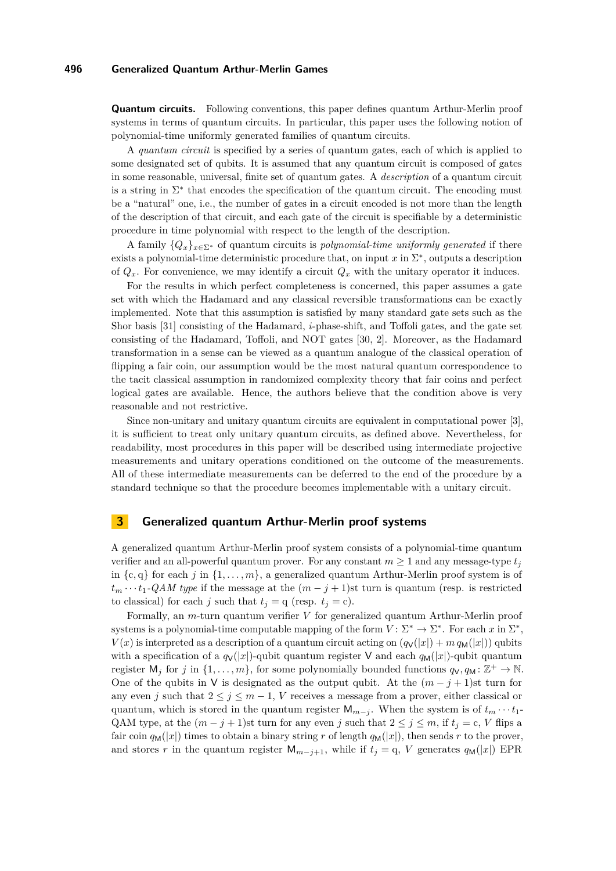**Quantum circuits.** Following conventions, this paper defines quantum Arthur-Merlin proof systems in terms of quantum circuits. In particular, this paper uses the following notion of polynomial-time uniformly generated families of quantum circuits.

A *quantum circuit* is specified by a series of quantum gates, each of which is applied to some designated set of qubits. It is assumed that any quantum circuit is composed of gates in some reasonable, universal, finite set of quantum gates. A *description* of a quantum circuit is a string in  $\Sigma^*$  that encodes the specification of the quantum circuit. The encoding must be a "natural" one, i.e., the number of gates in a circuit encoded is not more than the length of the description of that circuit, and each gate of the circuit is specifiable by a deterministic procedure in time polynomial with respect to the length of the description.

A family  ${Q_x}_{x \in \Sigma^*}$  of quantum circuits is *polynomial-time uniformly generated* if there exists a polynomial-time deterministic procedure that, on input  $x$  in  $\Sigma^*$ , outputs a description of  $Q_x$ . For convenience, we may identify a circuit  $Q_x$  with the unitary operator it induces.

For the results in which perfect completeness is concerned, this paper assumes a gate set with which the Hadamard and any classical reversible transformations can be exactly implemented. Note that this assumption is satisfied by many standard gate sets such as the Shor basis [\[31\]](#page-22-6) consisting of the Hadamard, *i*-phase-shift, and Toffoli gates, and the gate set consisting of the Hadamard, Toffoli, and NOT gates [\[30,](#page-21-17) [2\]](#page-20-6). Moreover, as the Hadamard transformation in a sense can be viewed as a quantum analogue of the classical operation of flipping a fair coin, our assumption would be the most natural quantum correspondence to the tacit classical assumption in randomized complexity theory that fair coins and perfect logical gates are available. Hence, the authors believe that the condition above is very reasonable and not restrictive.

Since non-unitary and unitary quantum circuits are equivalent in computational power [\[3\]](#page-20-7), it is sufficient to treat only unitary quantum circuits, as defined above. Nevertheless, for readability, most procedures in this paper will be described using intermediate projective measurements and unitary operations conditioned on the outcome of the measurements. All of these intermediate measurements can be deferred to the end of the procedure by a standard technique so that the procedure becomes implementable with a unitary circuit.

## <span id="page-8-0"></span>**3 Generalized quantum Arthur-Merlin proof systems**

A generalized quantum Arthur-Merlin proof system consists of a polynomial-time quantum verifier and an all-powerful quantum prover. For any constant  $m \geq 1$  and any message-type  $t_i$ in  $\{c, q\}$  for each *j* in  $\{1, \ldots, m\}$ , a generalized quantum Arthur-Merlin proof system is of  $t_m \cdots t_1$ -*QAM type* if the message at the  $(m-j+1)$ st turn is quantum (resp. is restricted to classical) for each *j* such that  $t_j = q$  (resp.  $t_j = c$ ).

Formally, an *m*-turn quantum verifier *V* for generalized quantum Arthur-Merlin proof systems is a polynomial-time computable mapping of the form  $V: \Sigma^* \to \Sigma^*$ . For each *x* in  $\Sigma^*$ ,  $V(x)$  is interpreted as a description of a quantum circuit acting on  $(q_V(|x|) + m q_M(|x|))$  qubits with a specification of a  $q_V(|x|)$ -qubit quantum register V and each  $q_M(|x|)$ -qubit quantum register  $M_j$  for *j* in  $\{1, \ldots, m\}$ , for some polynomially bounded functions  $q_V, q_M : \mathbb{Z}^+ \to \mathbb{N}$ . One of the qubits in V is designated as the output qubit. At the  $(m - j + 1)$ st turn for any even *j* such that  $2 \leq j \leq m-1$ , *V* receives a message from a prover, either classical or quantum, which is stored in the quantum register  $M_{m-j}$ . When the system is of  $t_m \cdots t_1$ -QAM type, at the  $(m - j + 1)$ st turn for any even *j* such that  $2 \le j \le m$ , if  $t_j = c$ , *V* flips a fair coin  $q_M(|x|)$  times to obtain a binary string r of length  $q_M(|x|)$ , then sends r to the prover, and stores *r* in the quantum register  $M_{m-j+1}$ , while if  $t_j = q$ , *V* generates  $q_M(|x|)$  EPR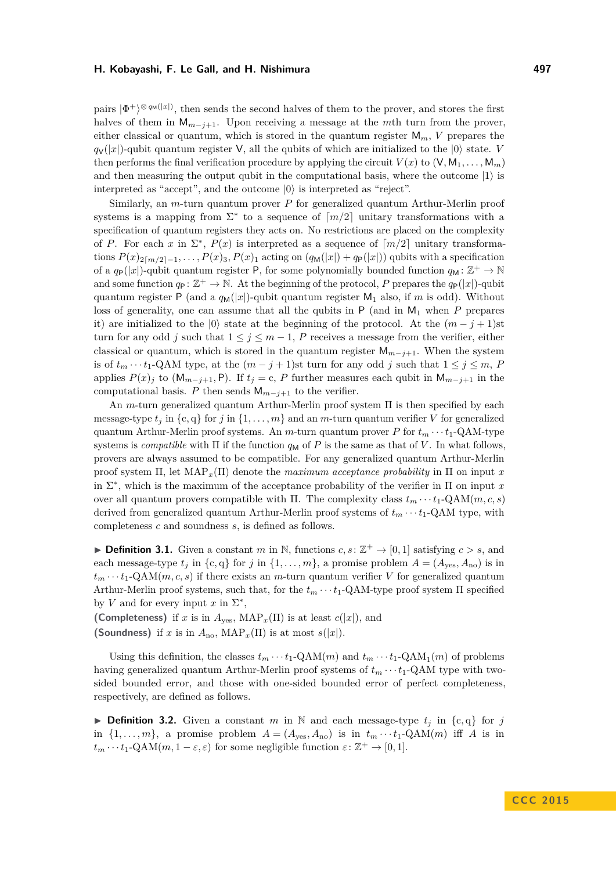pairs  $|\Phi^+\rangle^{\otimes q_M(|x|)}$ , then sends the second halves of them to the prover, and stores the first halves of them in  $M_{m-j+1}$ . Upon receiving a message at the *m*th turn from the prover, either classical or quantum, which is stored in the quantum register  $M_m$ , V prepares the  $q_V(|x|)$ -qubit quantum register V, all the qubits of which are initialized to the  $|0\rangle$  state. *V* then performs the final verification procedure by applying the circuit  $V(x)$  to  $(V, M_1, \ldots, M_m)$ and then measuring the output qubit in the computational basis, where the outcome  $|1\rangle$  is interpreted as "accept", and the outcome  $|0\rangle$  is interpreted as "reject".

Similarly, an *m*-turn quantum prover *P* for generalized quantum Arthur-Merlin proof systems is a mapping from  $\Sigma^*$  to a sequence of  $\lceil m/2 \rceil$  unitary transformations with a specification of quantum registers they acts on. No restrictions are placed on the complexity of *P*. For each *x* in  $\Sigma^*$ ,  $P(x)$  is interpreted as a sequence of  $\lceil m/2 \rceil$  unitary transformations  $P(x)_{2\lceil m/2 \rceil - 1}, \ldots, P(x)_3, P(x)_1$  acting on  $(q_M(|x|) + q_P(|x|))$  qubits with a specification of a  $q_P(|x|)$ -qubit quantum register P, for some polynomially bounded function  $q_M: \mathbb{Z}^+ \to \mathbb{N}$ and some function  $q_P : \mathbb{Z}^+ \to \mathbb{N}$ . At the beginning of the protocol, P prepares the  $q_P(|x|)$ -qubit quantum register P (and a  $q_M(|x|)$ -qubit quantum register  $M_1$  also, if m is odd). Without loss of generality, one can assume that all the qubits in P (and in M<sub>1</sub> when P prepares it) are initialized to the  $|0\rangle$  state at the beginning of the protocol. At the  $(m - j + 1)$ st turn for any odd *j* such that  $1 \le j \le m-1$ , *P* receives a message from the verifier, either classical or quantum, which is stored in the quantum register  $M_{m-j+1}$ . When the system is of  $t_m \cdots t_1$ -QAM type, at the  $(m-j+1)$ st turn for any odd *j* such that  $1 \le j \le m$ , *P* applies  $P(x)$ <sup>*j*</sup> to (M<sub>*m*−*j*+1</sub>, P). If  $t_j = c$ , *P* further measures each qubit in M<sub>*m*−*j*+1</sub> in the computational basis. *P* then sends  $M_{m-j+1}$  to the verifier.

An *m*-turn generalized quantum Arthur-Merlin proof system Π is then specified by each message-type  $t_j$  in  $\{c, q\}$  for *j* in  $\{1, \ldots, m\}$  and an *m*-turn quantum verifier *V* for generalized quantum Arthur-Merlin proof systems. An *m*-turn quantum prover *P* for  $t_m \cdots t_1$ -QAM-type systems is *compatible* with  $\Pi$  if the function  $q_M$  of  $P$  is the same as that of  $V$ . In what follows, provers are always assumed to be compatible. For any generalized quantum Arthur-Merlin proof system Π, let MAP*x*(Π) denote the *maximum acceptance probability* in Π on input *x* in  $\Sigma^*$ , which is the maximum of the acceptance probability of the verifier in  $\Pi$  on input x over all quantum provers compatible with  $\Pi$ . The complexity class  $t_m \cdots t_1 \cdot \text{QAM}(m, c, s)$ derived from generalized quantum Arthur-Merlin proof systems of  $t_m \cdots t_1$ -QAM type, with completeness *c* and soundness *s*, is defined as follows.

▶ **Definition 3.1.** Given a constant *m* in N, functions  $c, s: \mathbb{Z}^+ \to [0, 1]$  satisfying  $c > s$ , and each message-type  $t_j$  in  $\{c, q\}$  for *j* in  $\{1, \ldots, m\}$ , a promise problem  $A = (A_{\text{yes}}, A_{\text{no}})$  is in  $t_m \cdots t_1$ -QAM $(m, c, s)$  if there exists an *m*-turn quantum verifier *V* for generalized quantum Arthur-Merlin proof systems, such that, for the  $t_m \cdots t_1$ -QAM-type proof system  $\Pi$  specified by *V* and for every input  $x$  in  $\Sigma^*$ ,

**(Completeness)** if *x* is in  $A_{\text{ves}}$ ,  $\text{MAP}_x(\Pi)$  is at least  $c(|x|)$ , and **(Soundness)** if *x* is in  $A_{\text{no}}$ ,  $\text{MAP}_x(\Pi)$  is at most  $s(|x|)$ .

Using this definition, the classes  $t_m \cdots t_1$ -QAM $(m)$  and  $t_m \cdots t_1$ -QAM $_1(m)$  of problems having generalized quantum Arthur-Merlin proof systems of  $t_m \cdots t_1$ -QAM type with twosided bounded error, and those with one-sided bounded error of perfect completeness, respectively, are defined as follows.

<span id="page-9-0"></span>**Definition 3.2.** Given a constant *m* in N and each message-type  $t_i$  in  $\{c, q\}$  for *j* in  $\{1, \ldots, m\}$ , a promise problem  $A = (A_{\text{yes}}, A_{\text{no}})$  is in  $t_m \cdots t_1 \text{-QAM}(m)$  iff A is in  $t_m \cdots t_1$ -QAM $(m, 1 - \varepsilon, \varepsilon)$  for some negligible function  $\varepsilon \colon \mathbb{Z}^+ \to [0, 1]$ .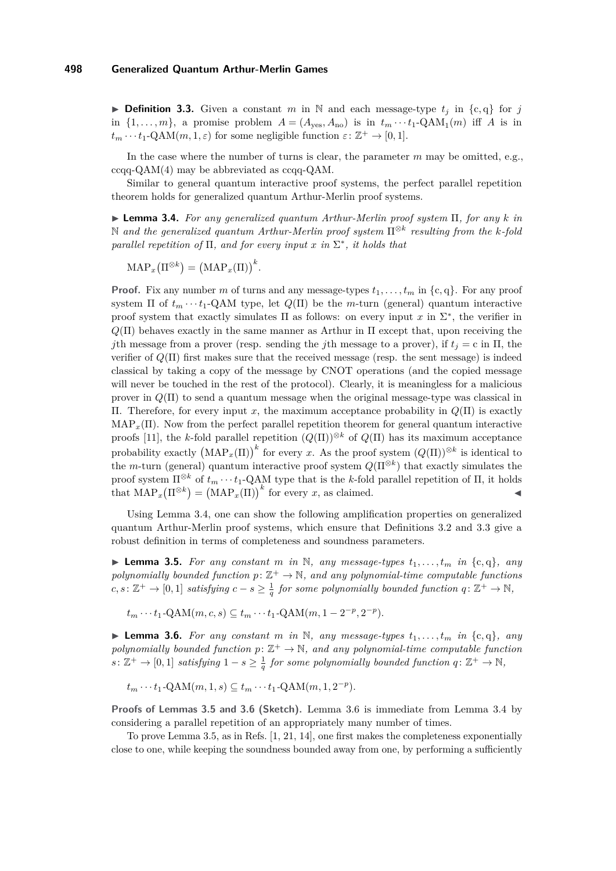<span id="page-10-1"></span>**Definition 3.3.** Given a constant *m* in N and each message-type  $t_i$  in  $\{c, q\}$  for *j* in  $\{1, \ldots, m\}$ , a promise problem  $A = (A_{\text{yes}}, A_{\text{no}})$  is in  $t_m \cdots t_1 \text{-QAM}_1(m)$  iff A is in  $t_m \cdots t_1$ -QAM $(m, 1, \varepsilon)$  for some negligible function  $\varepsilon \colon \mathbb{Z}^+ \to [0, 1]$ .

In the case where the number of turns is clear, the parameter *m* may be omitted, e.g., ccqq-QAM(4) may be abbreviated as ccqq-QAM.

Similar to general quantum interactive proof systems, the perfect parallel repetition theorem holds for generalized quantum Arthur-Merlin proof systems.

<span id="page-10-0"></span>I **Lemma 3.4.** *For any generalized quantum Arthur-Merlin proof system* Π*, for any k in* N *and the generalized quantum Arthur-Merlin proof system* Π<sup>⊗</sup>*<sup>k</sup> resulting from the k-fold parallel repetition of*  $\Pi$ *, and for every input x in*  $\Sigma^*$ *, it holds that* 

$$
\mathrm{MAP}_x\big(\Pi^{\otimes k}\big) = \big(\mathrm{MAP}_x(\Pi)\big)^k.
$$

**Proof.** Fix any number *m* of turns and any message-types  $t_1, \ldots, t_m$  in  $\{c, q\}$ . For any proof system  $\Pi$  of  $t_m \cdots t_1$ -QAM type, let  $Q(\Pi)$  be the *m*-turn (general) quantum interactive proof system that exactly simulates  $\Pi$  as follows: on every input x in  $\Sigma^*$ , the verifier in  $Q(\Pi)$  behaves exactly in the same manner as Arthur in  $\Pi$  except that, upon receiving the *j*th message from a prover (resp. sending the *j*th message to a prover), if  $t<sub>i</sub> = c$  in  $\Pi$ , the verifier of *Q*(Π) first makes sure that the received message (resp. the sent message) is indeed classical by taking a copy of the message by CNOT operations (and the copied message will never be touched in the rest of the protocol). Clearly, it is meaningless for a malicious prover in *Q*(Π) to send a quantum message when the original message-type was classical in Π. Therefore, for every input *x*, the maximum acceptance probability in *Q*(Π) is exactly  $MAP_x(\Pi)$ . Now from the perfect parallel repetition theorem for general quantum interactive proofs [\[11\]](#page-21-18), the *k*-fold parallel repetition  $(Q(\Pi))^{\otimes k}$  of  $Q(\Pi)$  has its maximum acceptance probability exactly  $(MAP_x(\Pi))^k$  for every *x*. As the proof system  $(Q(\Pi))^{\otimes k}$  is identical to the *m*-turn (general) quantum interactive proof system *Q*(Π<sup>⊗</sup>*<sup>k</sup>* ) that exactly simulates the proof system  $\Pi^{\otimes k}$  of  $t_m \cdots t_1$ -QAM type that is the *k*-fold parallel repetition of Π, it holds that  $\text{MAP}_x(\Pi^{\otimes k}) = (\text{MAP}_x(\Pi))^k$  for every *x*, as claimed.

Using Lemma [3.4,](#page-10-0) one can show the following amplification properties on generalized quantum Arthur-Merlin proof systems, which ensure that Definitions [3.2](#page-9-0) and [3.3](#page-10-1) give a robust definition in terms of completeness and soundness parameters.

<span id="page-10-2"></span>**Example 3.5.** For any constant m in N, any message-types  $t_1, \ldots, t_m$  in  $\{c, q\}$ , any polynomially bounded function  $p: \mathbb{Z}^+ \to \mathbb{N}$ , and any polynomial-time computable functions  $c, s: \mathbb{Z}^+ \to [0, 1]$  *satisfying*  $c - s \geq \frac{1}{q}$  *for some polynomially bounded function*  $q: \mathbb{Z}^+ \to \mathbb{N}$ *,* 

 $t_m \cdots t_1$ -QAM $(m, c, s) \subseteq t_m \cdots t_1$ -QAM $(m, 1 - 2^{-p}, 2^{-p})$ *.* 

<span id="page-10-3"></span>**Example 3.6.** For any constant  $m$  in  $\mathbb{N}$ , any message-types  $t_1, \ldots, t_m$  in  $\{c, q\}$ , any polynomially bounded function  $p: \mathbb{Z}^+ \to \mathbb{N}$ , and any polynomial-time computable function  $s: \mathbb{Z}^+ \to [0,1]$  *satisfying*  $1-s \geq \frac{1}{q}$  *for some polynomially bounded function*  $q: \mathbb{Z}^+ \to \mathbb{N}$ *,* 

 $t_m \cdots t_1$ -QAM $(m, 1, s) \subseteq t_m \cdots t_1$ -QAM $(m, 1, 2^{-p})$ *.* 

**Proofs of Lemmas [3.5](#page-10-2) and [3.6](#page-10-3) (Sketch).** Lemma [3.6](#page-10-3) is immediate from Lemma [3.4](#page-10-0) by considering a parallel repetition of an appropriately many number of times.

To prove Lemma [3.5,](#page-10-2) as in Refs. [\[1,](#page-20-8) [21,](#page-21-19) [14\]](#page-21-7), one first makes the completeness exponentially close to one, while keeping the soundness bounded away from one, by performing a sufficiently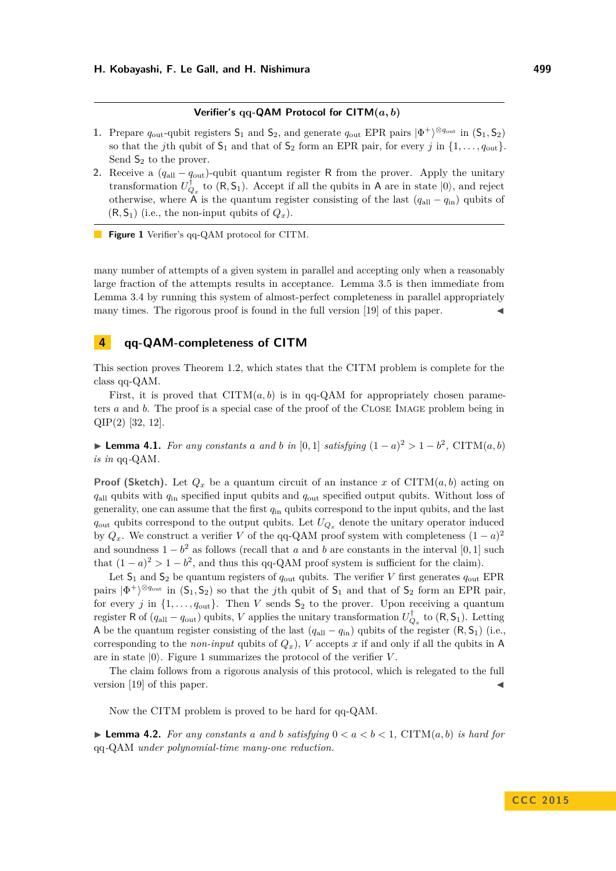### **Verifier's qq-QAM Protocol for CITM(***a, b***)**

- <span id="page-11-1"></span>**1.** Prepare  $q_{\text{out}}$ -qubit registers  $S_1$  and  $S_2$ , and generate  $q_{\text{out}}$  EPR pairs  $|\Phi^+\rangle^{\otimes q_{\text{out}}}$  in  $(S_1, S_2)$ so that the *j*th qubit of  $S_1$  and that of  $S_2$  form an EPR pair, for every *j* in  $\{1, \ldots, q_{\text{out}}\}$ . Send  $S_2$  to the prover.
- **2.** Receive a (*q*all − *q*out)-qubit quantum register R from the prover. Apply the unitary transformation  $U_{Q_x}^{\dagger}$  to  $(R, S_1)$ . Accept if all the qubits in A are in state  $|0\rangle$ , and reject otherwise, where A is the quantum register consisting of the last  $(q_{all} - q_{in})$  qubits of  $(R, S_1)$  (i.e., the non-input qubits of  $Q_x$ ).

**Figure 1** Verifier's qq-QAM protocol for CITM.

many number of attempts of a given system in parallel and accepting only when a reasonably large fraction of the attempts results in acceptance. Lemma [3.5](#page-10-2) is then immediate from Lemma [3.4](#page-10-0) by running this system of almost-perfect completeness in parallel appropriately many times. The rigorous proof is found in the full version [\[19\]](#page-21-14) of this paper.

## <span id="page-11-0"></span>**4 qq-QAM-completeness of CITM**

This section proves Theorem [1.2,](#page-3-1) which states that the CITM problem is complete for the class qq-QAM.

First, it is proved that  $CITM(a, b)$  is in qq-QAM for appropriately chosen parameters *a* and *b*. The proof is a special case of the proof of the CLOSE IMAGE problem being in QIP(2) [\[32,](#page-22-3) [12\]](#page-21-8).

<span id="page-11-2"></span>▶ **Lemma 4.1.** *For any constants a and b in* [0,1] *satisfying*  $(1 - a)^2 > 1 - b^2$ , CITM $(a, b)$ *is in* qq*-*QAM*.*

**Proof (Sketch).** Let  $Q_x$  be a quantum circuit of an instance x of CITM( $a, b$ ) acting on *q*all qubits with *q*in specified input qubits and *q*out specified output qubits. Without loss of generality, one can assume that the first *q*in qubits correspond to the input qubits, and the last  $q_{\text{out}}$  qubits correspond to the output qubits. Let  $U_{Q_x}$  denote the unitary operator induced by  $Q_x$ . We construct a verifier *V* of the qq-QAM proof system with completeness  $(1 - a)^2$ and soundness  $1 - b^2$  as follows (recall that *a* and *b* are constants in the interval [0, 1] such that  $(1-a)^2 > 1-b^2$ , and thus this qq-QAM proof system is sufficient for the claim).

Let  $S_1$  and  $S_2$  be quantum registers of  $q_{\text{out}}$  qubits. The verifier *V* first generates  $q_{\text{out}}$  EPR pairs  $|\Phi^+\rangle^{\otimes q_{\text{out}}}$  in  $(S_1, S_2)$  so that the *j*th qubit of  $S_1$  and that of  $S_2$  form an EPR pair, for every *j* in  $\{1, \ldots, q_{\text{out}}\}$ . Then *V* sends  $S_2$  to the prover. Upon receiving a quantum register R of  $(q_{all} - q_{out})$  qubits, *V* applies the unitary transformation  $U_{Q_x}^{\dagger}$  to  $(R, S_1)$ . Letting A be the quantum register consisting of the last  $(q_{all} - q_{in})$  qubits of the register  $(R, S_1)$  (i.e., corresponding to the *non-input* qubits of  $Q_x$ ), *V* accepts *x* if and only if all the qubits in A are in state  $|0\rangle$ . Figure [1](#page-11-1) summarizes the protocol of the verifier *V*.

The claim follows from a rigorous analysis of this protocol, which is relegated to the full version  $[19]$  of this paper.

Now the CITM problem is proved to be hard for qq-QAM.

<span id="page-11-3"></span>**Lemma 4.2.** For any constants a and b satisfying  $0 < a < b < 1$ , CITM $(a, b)$  is hard for qq*-*QAM *under polynomial-time many-one reduction.*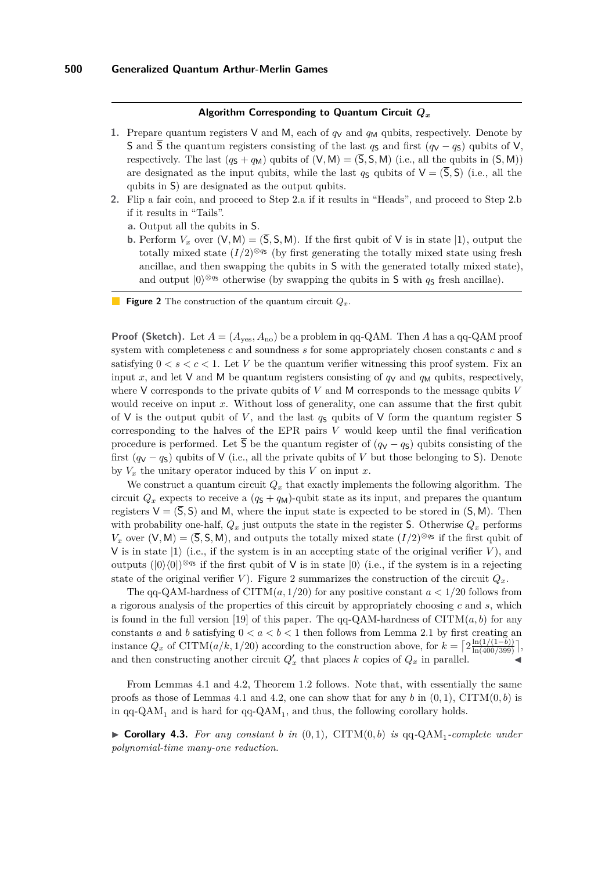### **Algorithm Corresponding to Quantum Circuit** *Q<sup>x</sup>*

- <span id="page-12-0"></span>**1.** Prepare quantum registers V and M, each of  $q_V$  and  $q_M$  qubits, respectively. Denote by S and  $\overline{S}$  the quantum registers consisting of the last *q*<sub>S</sub> and first (*q*V − *q*<sub>S</sub>) qubits of V, respectively. The last  $(q_S + q_M)$  qubits of  $(V, M) = (\overline{S}, S, M)$  (i.e., all the qubits in  $(S, M)$ ) are designated as the input qubits, while the last  $q_S$  qubits of  $V = (\overline{S}, S)$  (i.e., all the qubits in S) are designated as the output qubits.
- **2.** Flip a fair coin, and proceed to Step 2.a if it results in "Heads", and proceed to Step 2.b if it results in "Tails".
	- **a.** Output all the qubits in S.
	- **b.** Perform  $V_x$  over  $(V, M) = (\overline{S}, S, M)$ . If the first qubit of V is in state  $|1\rangle$ , output the totally mixed state  $(I/2)^{\otimes q_s}$  (by first generating the totally mixed state using fresh ancillae, and then swapping the qubits in S with the generated totally mixed state), and output  $|0\rangle^{\otimes q_s}$  otherwise (by swapping the qubits in S with  $q_s$  fresh ancillae).
- **Figure 2** The construction of the quantum circuit *Qx*.

**Proof (Sketch).** Let  $A = (A_{yes}, A_{no})$  be a problem in qq-QAM. Then *A* has a qq-QAM proof system with completeness *c* and soundness *s* for some appropriately chosen constants *c* and *s* satisfying  $0 < s < c < 1$ . Let *V* be the quantum verifier witnessing this proof system. Fix an input *x*, and let V and M be quantum registers consisting of  $q<sub>V</sub>$  and  $q<sub>M</sub>$  qubits, respectively, where V corresponds to the private qubits of *V* and M corresponds to the message qubits *V* would receive on input *x*. Without loss of generality, one can assume that the first qubit of V is the output qubit of V, and the last  $q<sub>S</sub>$  qubits of V form the quantum register S corresponding to the halves of the EPR pairs *V* would keep until the final verification procedure is performed. Let  $\overline{S}$  be the quantum register of  $(q_V - q_S)$  qubits consisting of the first  $(q_V - q_S)$  qubits of V (i.e., all the private qubits of *V* but those belonging to S). Denote by  $V_x$  the unitary operator induced by this  $V$  on input  $x$ .

We construct a quantum circuit  $Q_x$  that exactly implements the following algorithm. The circuit  $Q_x$  expects to receive a  $(q_s + q_M)$ -qubit state as its input, and prepares the quantum registers  $V = (\overline{S}, S)$  and M, where the input state is expected to be stored in  $(S, M)$ . Then with probability one-half,  $Q_x$  just outputs the state in the register S. Otherwise  $Q_x$  performs  $V_x$  over  $(V, M) = (\overline{S}, S, M)$ , and outputs the totally mixed state  $(I/2)^{\otimes q_s}$  if the first qubit of V is in state  $|1\rangle$  (i.e., if the system is in an accepting state of the original verifier V), and outputs  $(|0\rangle\langle0|)^{\otimes q_s}$  if the first qubit of V is in state  $|0\rangle$  (i.e., if the system is in a rejecting state of the original verifier *V*). Figure [2](#page-12-0) summarizes the construction of the circuit  $Q_x$ .

The qq-QAM-hardness of CITM $(a, 1/20)$  for any positive constant  $a < 1/20$  follows from a rigorous analysis of the properties of this circuit by appropriately choosing *c* and *s*, which is found in the full version [\[19\]](#page-21-14) of this paper. The  $qq-QAM$ -hardness of  $CITM(a, b)$  for any constants *a* and *b* satisfying  $0 < a < b < 1$  then follows from Lemma [2.1](#page-7-0) by first creating an instance  $Q_x$  of CITM( $a/k, 1/20$ ) according to the construction above, for  $k = \left[2 \frac{\ln(1/(1-b))}{\ln(400/399)}\right]$ , and then constructing another circuit  $Q'_x$  that places *k* copies of  $Q_x$  in parallel.

From Lemmas [4.1](#page-11-2) and [4.2,](#page-11-3) Theorem [1.2](#page-3-1) follows. Note that, with essentially the same proofs as those of Lemmas [4.1](#page-11-2) and [4.2,](#page-11-3) one can show that for any  $b$  in  $(0,1)$ , CITM $(0,b)$  is in  $qq\text{-}QAM_1$  and is hard for  $qq\text{-}QAM_1$ , and thus, the following corollary holds.

<span id="page-12-1"></span> $\triangleright$  **Corollary 4.3.** For any constant b in  $(0,1)$ , CITM $(0,b)$  is qq-QAM<sub>1</sub>-complete under *polynomial-time many-one reduction.*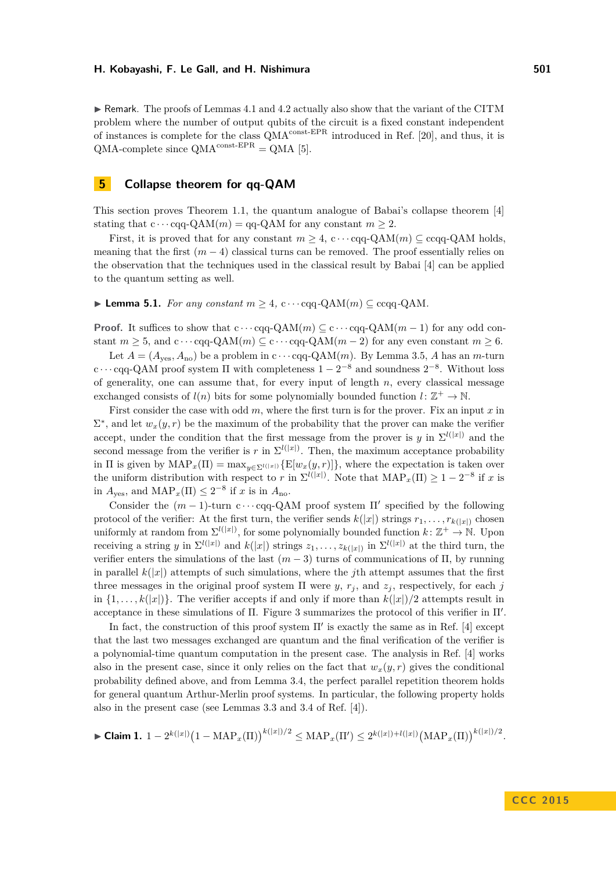$\triangleright$  Remark. The proofs of Lemmas [4.1](#page-11-2) and [4.2](#page-11-3) actually also show that the variant of the CITM problem where the number of output qubits of the circuit is a fixed constant independent of instances is complete for the class  $QMA^{\text{const-EPR}}$  introduced in Ref. [\[20\]](#page-21-12), and thus, it is  $QMA$ -complete since  $QMA^{const-EPR} = QMA$  [\[5\]](#page-20-9).

## <span id="page-13-0"></span>**5 Collapse theorem for qq-QAM**

This section proves Theorem [1.1,](#page-3-0) the quantum analogue of Babai's collapse theorem [\[4\]](#page-20-1) stating that  $c \cdots cqq-QAM(m) = qq-QAM$  for any constant  $m \geq 2$ .

First, it is proved that for any constant  $m \geq 4$ ,  $c \cdots$  cqq-QAM $(m) \subseteq$  ccqq-QAM holds. meaning that the first  $(m-4)$  classical turns can be removed. The proof essentially relies on the observation that the techniques used in the classical result by Babai [\[4\]](#page-20-1) can be applied to the quantum setting as well.

<span id="page-13-1"></span>▶ **Lemma 5.1.** *For any constant*  $m > 4$ ,  $c \cdots$  cqq*-*QAM( $m$ ) ⊂ ccqq*-*QAM.

**Proof.** It suffices to show that  $c \cdots cqq - QAM(m) \subseteq c \cdots cqq - QAM(m-1)$  for any odd constant  $m \geq 5$ , and  $c \cdots cqq$ -QAM $(m) \subseteq c \cdots cqq$ -QAM $(m-2)$  for any even constant  $m \geq 6$ .

Let  $A = (A_{\text{ves}}, A_{\text{no}})$  be a problem in  $c \cdots$  cqq-QAM $(m)$ . By Lemma [3.5,](#page-10-2) *A* has an *m*-turn c · · · cqq-QAM proof system  $\Pi$  with completeness  $1 - 2^{-8}$  and soundness  $2^{-8}$ . Without loss of generality, one can assume that, for every input of length *n*, every classical message exchanged consists of  $l(n)$  bits for some polynomially bounded function  $l: \mathbb{Z}^+ \to \mathbb{N}$ .

First consider the case with odd *m*, where the first turn is for the prover. Fix an input *x* in  $\Sigma^*$ , and let  $w_x(y, r)$  be the maximum of the probability that the prover can make the verifier accept, under the condition that the first message from the prover is *y* in  $\Sigma^{l(|x|)}$  and the second message from the verifier is *r* in  $\Sigma^{l(|x|)}$ . Then, the maximum acceptance probability in  $\Pi$  is given by  $\text{MAP}_x(\Pi) = \max_{y \in \Sigma^l(\{x\})} {\mathbb{E}[w_x(y, r)]},$  where the expectation is taken over the uniform distribution with respect to *r* in  $\Sigma^{l(|x|)}$ . Note that  $\text{MAP}_x(\Pi) \geq 1 - 2^{-8}$  if *x* is in  $A_{\text{yes}}$ , and  $\text{MAP}_x(\Pi) \leq 2^{-8}$  if *x* is in  $A_{\text{no}}$ .

Consider the  $(m-1)$ -turn c $\cdots$  cqq-QAM proof system  $\Pi'$  specified by the following protocol of the verifier: At the first turn, the verifier sends  $k(|x|)$  strings  $r_1, \ldots, r_{k(|x|)}$  chosen uniformly at random from  $\Sigma^{l(|x|)}$ , for some polynomially bounded function  $k: \mathbb{Z}^+ \to \mathbb{N}$ . Upon receiving a string *y* in  $\Sigma^{l(|x|)}$  and  $k(|x|)$  strings  $z_1, \ldots, z_{k(|x|)}$  in  $\Sigma^{l(|x|)}$  at the third turn, the verifier enters the simulations of the last  $(m-3)$  turns of communications of  $\Pi$ , by running in parallel  $k(|x|)$  attempts of such simulations, where the *j*th attempt assumes that the first three messages in the original proof system  $\Pi$  were  $y$ ,  $r_j$ , and  $z_j$ , respectively, for each  $j$ in  $\{1,\ldots,k(|x|)\}\$ . The verifier accepts if and only if more than  $k(|x|)/2$  attempts result in acceptance in these simulations of  $\Pi$ . Figure [3](#page-14-0) summarizes the protocol of this verifier in  $\Pi'$ .

In fact, the construction of this proof system  $\Pi'$  is exactly the same as in Ref. [\[4\]](#page-20-1) except that the last two messages exchanged are quantum and the final verification of the verifier is a polynomial-time quantum computation in the present case. The analysis in Ref. [\[4\]](#page-20-1) works also in the present case, since it only relies on the fact that  $w_x(y, r)$  gives the conditional probability defined above, and from Lemma [3.4,](#page-10-0) the perfect parallel repetition theorem holds for general quantum Arthur-Merlin proof systems. In particular, the following property holds also in the present case (see Lemmas 3.3 and 3.4 of Ref. [\[4\]](#page-20-1)).

$$
\blacktriangleright \text{Claim 1. } 1-2^{k(|x|)}\big(1-\text{MAP}_x(\Pi)\big)^{k(|x|)/2} \leq \text{MAP}_x(\Pi') \leq 2^{k(|x|)+l(|x|)}\big(\text{MAP}_x(\Pi)\big)^{k(|x|)/2}.
$$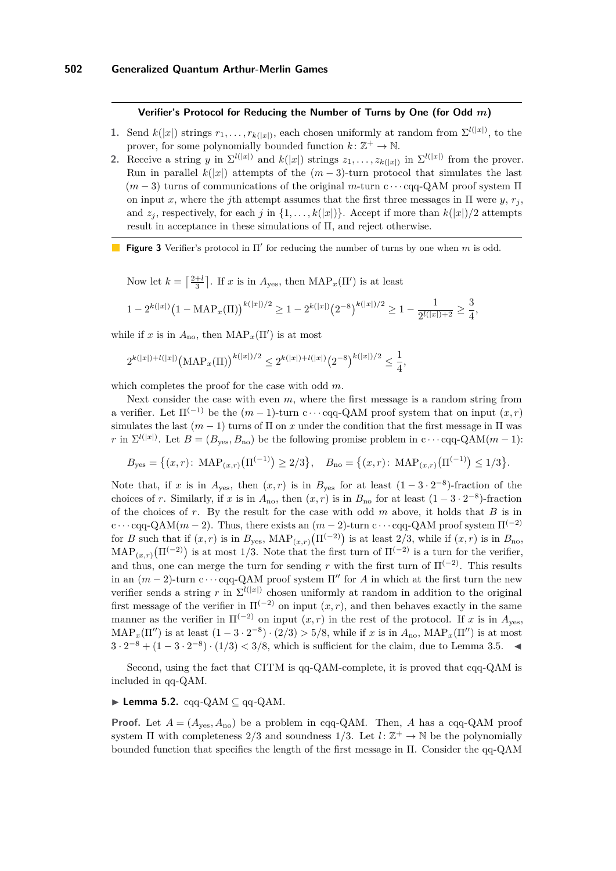### <span id="page-14-0"></span>**Verifier's Protocol for Reducing the Number of Turns by One (for Odd** *m***)**

- **1.** Send  $k(|x|)$  strings  $r_1, \ldots, r_{k(|x|)}$ , each chosen uniformly at random from  $\Sigma^{l(|x|)}$ , to the prover, for some polynomially bounded function  $k: \mathbb{Z}^+ \to \mathbb{N}$ .
- **2.** Receive a string *y* in  $\Sigma^{l(|x|)}$  and  $k(|x|)$  strings  $z_1, \ldots, z_{k(|x|)}$  in  $\Sigma^{l(|x|)}$  from the prover. Run in parallel  $k(|x|)$  attempts of the  $(m-3)$ -turn protocol that simulates the last (*m* − 3) turns of communications of the original *m*-turn c · · · cqq-QAM proof system Π on input *x*, where the *j*th attempt assumes that the first three messages in  $\Pi$  were *y*,  $r_j$ , and  $z_j$ , respectively, for each *j* in  $\{1, \ldots, k(|x|)\}\$ . Accept if more than  $k(|x|)/2$  attempts result in acceptance in these simulations of Π, and reject otherwise.
- **Figure 3** Verifier's protocol in  $\Pi'$  for reducing the number of turns by one when  $m$  is odd.

Now let  $k = \left\lceil \frac{2+l}{3} \right\rceil$ . If *x* is in  $A_{\text{yes}}$ , then  $\text{MAP}_x(\Pi')$  is at least

$$
1 - 2^{k(|x|)} \big(1 - \text{MAP}_x(\Pi)\big)^{k(|x|)/2} \ge 1 - 2^{k(|x|)} \big(2^{-8}\big)^{k(|x|)/2} \ge 1 - \frac{1}{2^{l(|x|)+2}} \ge \frac{3}{4},
$$

while if *x* is in  $A_{\text{no}}$ , then  $\text{MAP}_x(\Pi')$  is at most

$$
2^{k(|x|)+l(|x|)}\big(\text{MAP}_x(\Pi)\big)^{k(|x|)/2}\leq 2^{k(|x|)+l(|x|)}\big(2^{-8}\big)^{k(|x|)/2}\leq \frac{1}{4},
$$

which completes the proof for the case with odd *m*.

Next consider the case with even *m*, where the first message is a random string from a verifier. Let  $\Pi^{(-1)}$  be the  $(m-1)$ -turn c · · · cqq-QAM proof system that on input  $(x, r)$ simulates the last  $(m-1)$  turns of  $\Pi$  on x under the condition that the first message in  $\Pi$  was *r* in  $\Sigma^{l(|x|)}$ . Let  $B = (B_{\text{yes}}, B_{\text{no}})$  be the following promise problem in c · · · cqq-QAM $(m-1)$ :

$$
B_{\text{yes}} = \left\{ (x, r): \text{ MAP}_{(x, r)} \left( \Pi^{(-1)} \right) \ge 2/3 \right\}, \quad B_{\text{no}} = \left\{ (x, r): \text{ MAP}_{(x, r)} \left( \Pi^{(-1)} \right) \le 1/3 \right\}.
$$

Note that, if *x* is in  $A_{yes}$ , then  $(x, r)$  is in  $B_{yes}$  for at least  $(1 - 3 \cdot 2^{-8})$ -fraction of the choices of *r*. Similarly, if *x* is in  $A_{\text{no}}$ , then  $(x, r)$  is in  $B_{\text{no}}$  for at least  $(1 - 3 \cdot 2^{-8})$ -fraction of the choices of *r*. By the result for the case with odd *m* above, it holds that *B* is in  $c \cdots$  cqq-QAM( $m-2$ ). Thus, there exists an  $(m-2)$ -turn  $c \cdots$  cqq-QAM proof system  $\Pi^{(-2)}$ for *B* such that if  $(x, r)$  is in  $B_{\text{yes}}$ ,  $\text{MAP}_{(x,r)}(\Pi^{(-2)})$  is at least 2/3, while if  $(x, r)$  is in  $B_{\text{no}}$ ,  $\text{MAP}_{(x,r)}(\Pi^{(-2)})$  is at most 1/3. Note that the first turn of  $\Pi^{(-2)}$  is a turn for the verifier, and thus, one can merge the turn for sending *r* with the first turn of  $\Pi^{(-2)}$ . This results in an  $(m-2)$ -turn c · · · cqq-QAM proof system  $\Pi''$  for *A* in which at the first turn the new verifier sends a string r in  $\Sigma^{l(|x|)}$  chosen uniformly at random in addition to the original first message of the verifier in  $\Pi^{(-2)}$  on input  $(x, r)$ , and then behaves exactly in the same manner as the verifier in  $\Pi^{(-2)}$  on input  $(x, r)$  in the rest of the protocol. If *x* is in  $A_{\text{ves}}$ ,  $\text{MAP}_x(\Pi'')$  is at least  $(1-3\cdot 2^{-8})\cdot(2/3) > 5/8$ , while if *x* is in  $A_{\text{no}}$ ,  $\text{MAP}_x(\Pi'')$  is at most  $3 \cdot 2^{-8} + (1 - 3 \cdot 2^{-8}) \cdot (1/3) < 3/8$ , which is sufficient for the claim, due to Lemma [3.5.](#page-10-2)

Second, using the fact that CITM is qq-QAM-complete, it is proved that cqq-QAM is included in qq-QAM.

#### <span id="page-14-1"></span> $\blacktriangleright$  **Lemma 5.2.** cqq-QAM  $\subset$  qq-QAM.

**Proof.** Let  $A = (A_{\text{ves}}, A_{\text{no}})$  be a problem in cqq-QAM. Then, *A* has a cqq-QAM proof system  $\Pi$  with completeness  $2/3$  and soundness  $1/3$ . Let  $l: \mathbb{Z}^+ \to \mathbb{N}$  be the polynomially bounded function that specifies the length of the first message in Π. Consider the qq-QAM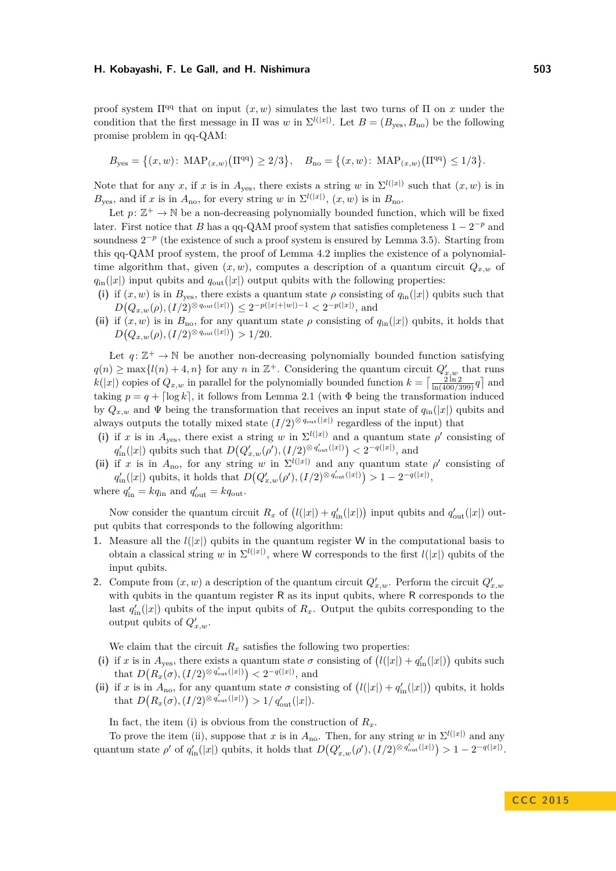proof system  $\Pi^{qq}$  that on input  $(x, w)$  simulates the last two turns of  $\Pi$  on x under the condition that the first message in  $\Pi$  was *w* in  $\Sigma^{l(|x|)}$ . Let  $B = (B_{\text{yes}}, B_{\text{no}})$  be the following promise problem in qq-QAM:

$$
B_{\text{yes}} = \left\{ (x, w) \colon \text{MAP}_{(x, w)} \left( \Pi^{\text{qq}} \right) \ge 2/3 \right\}, \quad B_{\text{no}} = \left\{ (x, w) \colon \text{MAP}_{(x, w)} \left( \Pi^{\text{qq}} \right) \le 1/3 \right\}.
$$

Note that for any *x*, if *x* is in  $A_{yes}$ , there exists a string *w* in  $\Sigma^{l(|x|)}$  such that  $(x, w)$  is in  $B_{\text{yes}}$ , and if *x* is in  $A_{\text{no}}$ , for every string *w* in  $\Sigma^{l(|x|)}$ ,  $(x, w)$  is in  $B_{\text{no}}$ .

Let  $p: \mathbb{Z}^+ \to \mathbb{N}$  be a non-decreasing polynomially bounded function, which will be fixed later. First notice that *B* has a qq-QAM proof system that satisfies completeness  $1 - 2^{-p}$  and soundness  $2^{-p}$  (the existence of such a proof system is ensured by Lemma [3.5\)](#page-10-2). Starting from this qq-QAM proof system, the proof of Lemma [4.2](#page-11-3) implies the existence of a polynomialtime algorithm that, given  $(x, w)$ , computes a description of a quantum circuit  $Q_{x,w}$  of  $q_{\text{in}}(|x|)$  input qubits and  $q_{\text{out}}(|x|)$  output qubits with the following properties:

- (i) if  $(x, w)$  is in  $B_{\text{yes}}$ , there exists a quantum state  $\rho$  consisting of  $q_{\text{in}}(|x|)$  qubits such that  $D(Q_{x,w}(\rho), (I/2)^{\otimes q_{\text{out}}(|x|)}) \leq 2^{-p(|x|+|w|)-1} < 2^{-p(|x|)},$  and
- (ii) if  $(x, w)$  is in  $B_{\text{no}}$ , for any quantum state  $\rho$  consisting of  $q_{\text{in}}(|x|)$  qubits, it holds that  $D(Q_{x,w}(\rho), (I/2)^{\otimes q_{\text{out}}(|x|)}) > 1/20.$

Let  $q: \mathbb{Z}^+ \to \mathbb{N}$  be another non-decreasing polynomially bounded function satisfying  $q(n) \geq \max\{l(n) + 4, n\}$  for any *n* in  $\mathbb{Z}^+$ . Considering the quantum circuit  $Q'_{x,w}$  that runs  $k(|x|)$  copies of  $Q_{x,w}$  in parallel for the polynomially bounded function  $k = \left[\frac{2 \ln 2}{\ln(400/399)}q\right]$  and taking  $p = q + \lceil \log k \rceil$ , it follows from Lemma [2.1](#page-7-0) (with  $\Phi$  being the transformation induced by  $Q_{x,w}$  and  $\Psi$  being the transformation that receives an input state of  $q_{in}(|x|)$  qubits and always outputs the totally mixed state  $(I/2)^{\otimes q_{\text{out}}(|x|)}$  regardless of the input) that

- (i) if *x* is in  $A_{\text{yes}}$ , there exist a string *w* in  $\Sigma^{l(|x|)}$  and a quantum state  $\rho'$  consisting of  $q'_{\text{in}}(|x|)$  qubits such that  $D(Q'_{x,w}(\rho'), (I/2)^{\otimes q'_{\text{out}}(|x|)}) < 2^{-q(|x|)},$  and
- (ii) if *x* is in  $A_{\text{no}}$ , for any string *w* in  $\Sigma^{l(|x|)}$  and any quantum state  $\rho'$  consisting of  $q'_{\text{in}}(|x|)$  qubits, it holds that  $D(Q'_{x,w}(\rho'), (I/2)^{\otimes q'_{\text{out}}(|x|)}) > 1 - 2^{-q(|x|)},$

where  $q'_{\text{in}} = kq_{\text{in}}$  and  $q'_{\text{out}} = kq_{\text{out}}$ .

Now consider the quantum circuit  $R_x$  of  $(l(|x|) + q'_{\text{in}}(|x|))$  input qubits and  $q'_{\text{out}}(|x|)$  output qubits that corresponds to the following algorithm:

- **1.** Measure all the  $l(|x|)$  qubits in the quantum register W in the computational basis to obtain a classical string *w* in  $\Sigma^{l(|x|)}$ , where W corresponds to the first  $l(|x|)$  qubits of the input qubits.
- **2.** Compute from  $(x, w)$  a description of the quantum circuit  $Q'_{x,w}$ . Perform the circuit  $Q'_{x,w}$ with qubits in the quantum register R as its input qubits, where R corresponds to the last  $q'_{\text{in}}(|x|)$  qubits of the input qubits of  $R_x$ . Output the qubits corresponding to the output qubits of  $Q'_{x,w}$ .

We claim that the circuit  $R_x$  satisfies the following two properties:

- (i) if *x* is in  $A_{\text{yes}}$ , there exists a quantum state  $\sigma$  consisting of  $(l(|x|) + q'_{\text{in}}(|x|))$  qubits such that  $D(R_x(\sigma), (I/2)^{\otimes q'_{\text{out}}(|x|)}) < 2^{-q(|x|)},$  and
- (ii) if *x* is in  $A_{\text{no}}$ , for any quantum state  $\sigma$  consisting of  $(l(|x|) + q'_{\text{in}}(|x|))$  qubits, it holds that  $D(R_x(\sigma), (I/2)^{\otimes q'_{\text{out}}(|x|)}) > 1/q'_{\text{out}}(|x|).$

In fact, the item (i) is obvious from the construction of  $R_x$ .

To prove the item (ii), suppose that *x* is in  $A_{\text{no}}$ . Then, for any string *w* in  $\Sigma^{l(|x|)}$  and any quantum state  $\rho'$  of  $q'_{\rm in}(|x|)$  qubits, it holds that  $D(Q'_{x,w}(\rho'), (I/2)^{\otimes q'_{\rm out}(|x|)}) > 1 - 2^{-q(|x|)}$ .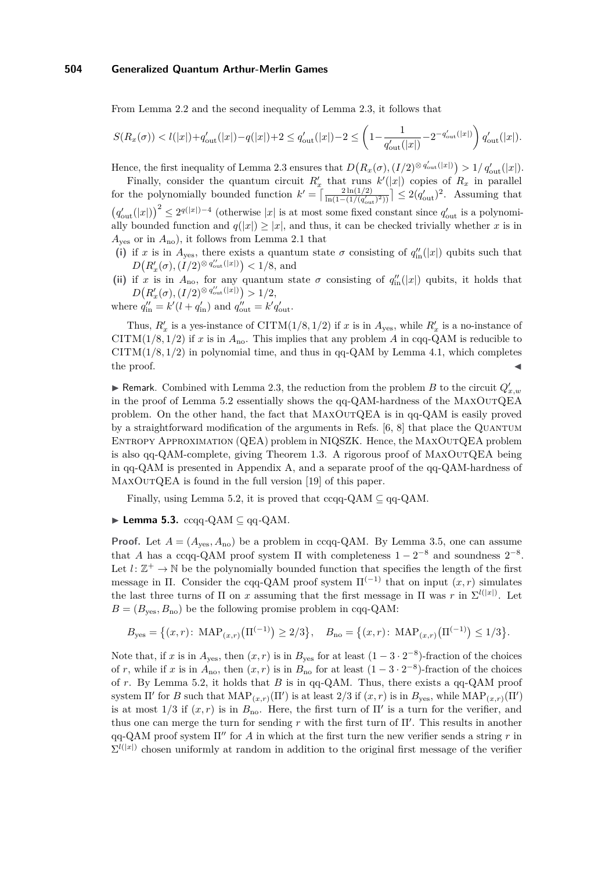From Lemma [2.2](#page-7-1) and the second inequality of Lemma [2.3,](#page-7-2) it follows that

$$
S(R_x(\sigma)) < l(|x|) + q'_{\text{out}}(|x|) - q(|x|) + 2 \leq q'_{\text{out}}(|x|) - 2 \leq \left(1 - \frac{1}{q'_{\text{out}}(|x|)} - 2^{-q'_{\text{out}}(|x|)}\right) q'_{\text{out}}(|x|).
$$

Hence, the first inequality of Lemma [2.3](#page-7-2) ensures that  $D(R_x(\sigma), (I/2)^{\otimes q'_{\text{out}}(|x|)}) > 1/q'_{\text{out}}(|x|)$ .

Finally, consider the quantum circuit  $R'_x$  that runs  $k'(|x|)$  copies of  $R_x$  in parallel for the polynomially bounded function  $k' = \left\lceil \frac{2\ln(1/2)}{\ln(1-(1/(q'_{\text{out}})^2))} \right\rceil \leq 2(q'_{\text{out}})^2$ . Assuming that  $(q'_{\text{out}}(|x|))^2 \leq 2^{q(|x|)-4}$  (otherwise |*x*| is at most some fixed constant since  $q'_{\text{out}}$  is a polynomially bounded function and  $q(|x|) \ge |x|$ , and thus, it can be checked trivially whether *x* is in  $A_{\text{ves}}$  or in  $A_{\text{no}}$ ), it follows from Lemma [2.1](#page-7-0) that

- (i) if *x* is in  $A_{\text{yes}}$ , there exists a quantum state  $\sigma$  consisting of  $q''_{\text{in}}(|x|)$  qubits such that  $D(R'_x(\sigma), (I/2)^{\otimes q''_{\text{out}}(|x|)}) < 1/8$ , and
- (ii) if *x* is in  $A_{\text{no}}$ , for any quantum state  $\sigma$  consisting of  $q''_{\text{in}}(|x|)$  qubits, it holds that  $D(R'_x(\sigma), (I/2)^{\otimes q''_{\text{out}}(|x|)}) > 1/2,$

where  $q''_{\text{in}} = k'(l + q'_{\text{in}})$  and  $q''_{\text{out}} = k'q'_{\text{out}}$ .

Thus,  $R'_x$  is a yes-instance of CITM(1/8*,* 1/2) if *x* is in  $A_{\text{yes}}$ , while  $R'_x$  is a no-instance of CITM( $1/8$ ,  $1/2$ ) if *x* is in  $A_{\text{no}}$ . This implies that any problem *A* in cqq-QAM is reducible to CITM(1*/*8*,* 1*/*2) in polynomial time, and thus in qq-QAM by Lemma [4.1,](#page-11-2) which completes  $\blacksquare$  the proof.

**Followia** Remark. Combined with Lemma [2.3,](#page-7-2) the reduction from the problem *B* to the circuit  $Q'_{x,w}$ in the proof of Lemma [5.2](#page-14-1) essentially shows the qq-QAM-hardness of the MaxOutQEA problem. On the other hand, the fact that MaxOutQEA is in qq-QAM is easily proved by a straightforward modification of the arguments in Refs.  $[6, 8]$  $[6, 8]$  $[6, 8]$  that place the QUANTUM Entropy Approximation (QEA) problem in NIQSZK. Hence, the MaxOutQEA problem is also qq-QAM-complete, giving Theorem [1.3.](#page-4-0) A rigorous proof of MaxOutQEA being in qq-QAM is presented in Appendix [A,](#page-22-7) and a separate proof of the qq-QAM-hardness of MAXOUTQEA is found in the full version [\[19\]](#page-21-14) of this paper.

Finally, using Lemma [5.2,](#page-14-1) it is proved that  $ccqq-QAM \subseteq qq-QAM$ .

### <span id="page-16-0"></span>I **Lemma 5.3.** ccqq*-*QAM ⊆ qq*-*QAM*.*

**Proof.** Let  $A = (A_{\text{ves}}, A_{\text{no}})$  be a problem in ccqq-QAM. By Lemma [3.5,](#page-10-2) one can assume that *A* has a ccqq-QAM proof system  $\Pi$  with completeness  $1 - 2^{-8}$  and soundness  $2^{-8}$ . Let  $l: \mathbb{Z}^+ \to \mathbb{N}$  be the polynomially bounded function that specifies the length of the first message in Π. Consider the cqq-QAM proof system  $\Pi^{(-1)}$  that on input  $(x, r)$  simulates the last three turns of  $\Pi$  on *x* assuming that the first message in  $\Pi$  was *r* in  $\Sigma^{l(|x|)}$ . Let  $B = (B_{\text{ves}}, B_{\text{no}})$  be the following promise problem in cqq-QAM:

$$
B_{\text{yes}} = \left\{ (x, r): \text{ MAP}_{(x, r)} \left( \Pi^{(-1)} \right) \ge 2/3 \right\}, \quad B_{\text{no}} = \left\{ (x, r): \text{ MAP}_{(x, r)} \left( \Pi^{(-1)} \right) \le 1/3 \right\}.
$$

Note that, if *x* is in  $A_{\text{yes}}$ , then  $(x, r)$  is in  $B_{\text{yes}}$  for at least  $(1 - 3 \cdot 2^{-8})$ -fraction of the choices of *r*, while if *x* is in  $A_{\text{no}}$ , then  $(x, r)$  is in  $B_{\text{no}}$  for at least  $(1 - 3 \cdot 2^{-8})$ -fraction of the choices of *r*. By Lemma [5.2,](#page-14-1) it holds that *B* is in qq-QAM. Thus, there exists a qq-QAM proof system  $\Pi'$  for *B* such that  $\text{MAP}_{(x,r)}(\Pi')$  is at least 2/3 if  $(x,r)$  is in  $B_{\text{yes}}$ , while  $\text{MAP}_{(x,r)}(\Pi')$ is at most  $1/3$  if  $(x, r)$  is in  $B_{\text{no}}$ . Here, the first turn of  $\Pi'$  is a turn for the verifier, and thus one can merge the turn for sending  $r$  with the first turn of  $\Pi'$ . This results in another qq-QAM proof system  $\Pi''$  for *A* in which at the first turn the new verifier sends a string *r* in  $\Sigma^{l(|x|)}$  chosen uniformly at random in addition to the original first message of the verifier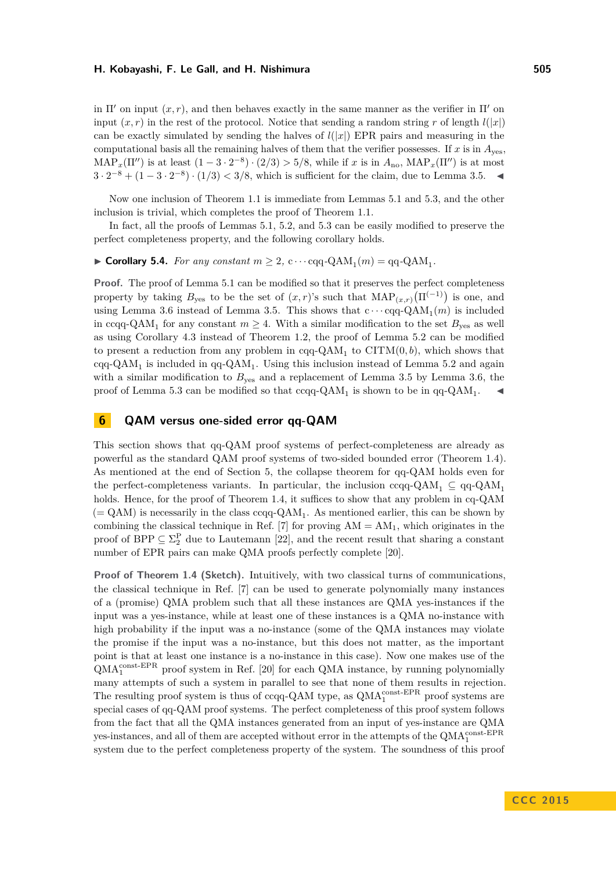in  $\Pi'$  on input  $(x, r)$ , and then behaves exactly in the same manner as the verifier in  $\Pi'$  on input  $(x, r)$  in the rest of the protocol. Notice that sending a random string r of length  $l(|x|)$ can be exactly simulated by sending the halves of  $l(|x|)$  EPR pairs and measuring in the computational basis all the remaining halves of them that the verifier possesses. If  $x$  is in  $A_{\text{ves}}$ ,  $\text{MAP}_x(\Pi'')$  is at least  $(1-3\cdot 2^{-8})\cdot(2/3) > 5/8$ , while if *x* is in  $A_{\text{no}}$ ,  $\text{MAP}_x(\Pi'')$  is at most  $3 \cdot 2^{-8} + (1 - 3 \cdot 2^{-8}) \cdot (1/3) < 3/8$ , which is sufficient for the claim, due to Lemma [3.5.](#page-10-2)

Now one inclusion of Theorem [1.1](#page-3-0) is immediate from Lemmas [5.1](#page-13-1) and [5.3,](#page-16-0) and the other inclusion is trivial, which completes the proof of Theorem [1.1.](#page-3-0)

In fact, all the proofs of Lemmas [5.1,](#page-13-1) [5.2,](#page-14-1) and [5.3](#page-16-0) can be easily modified to preserve the perfect completeness property, and the following corollary holds.

 $\blacktriangleright$  **Corollary 5.4.** For any constant  $m \geq 2$ ,  $c \cdots cqq$ - $QAM_1(m) = qq$ - $QAM_1$ .

**Proof.** The proof of Lemma [5.1](#page-13-1) can be modified so that it preserves the perfect completeness property by taking  $B_{\text{yes}}$  to be the set of  $(x, r)$ 's such that  $\text{MAP}_{(x,r)}(\Pi^{(-1)})$  is one, and using Lemma [3.6](#page-10-3) instead of Lemma [3.5.](#page-10-2) This shows that  $c \cdots cqq-QAM_1(m)$  is included in ccqq-QAM<sub>1</sub> for any constant  $m \geq 4$ . With a similar modification to the set  $B_{\text{yes}}$  as well as using Corollary [4.3](#page-12-1) instead of Theorem [1.2,](#page-3-1) the proof of Lemma [5.2](#page-14-1) can be modified to present a reduction from any problem in cqq-QAM<sub>1</sub> to CITM $(0, b)$ , which shows that cqq-QAM<sub>1</sub> is included in qq-QAM<sub>1</sub>. Using this inclusion instead of Lemma [5.2](#page-14-1) and again with a similar modification to  $B_{\text{yes}}$  and a replacement of Lemma [3.5](#page-10-2) by Lemma [3.6,](#page-10-3) the proof of Lemma [5.3](#page-16-0) can be modified so that ccqq-QAM<sub>1</sub> is shown to be in qq-QAM<sub>1</sub>.

## <span id="page-17-0"></span>**6 QAM versus one-sided error qq-QAM**

This section shows that qq-QAM proof systems of perfect-completeness are already as powerful as the standard QAM proof systems of two-sided bounded error (Theorem [1.4\)](#page-5-1). As mentioned at the end of Section [5,](#page-13-0) the collapse theorem for qq-QAM holds even for the perfect-completeness variants. In particular, the inclusion ccqq-QAM<sub>1</sub>  $\subseteq$  qq-QAM<sub>1</sub> holds. Hence, for the proof of Theorem [1.4,](#page-5-1) it suffices to show that any problem in cq-QAM  $(= QAM)$  is necessarily in the class  $ccqq$ - $QAM_1$ . As mentioned earlier, this can be shown by combining the classical technique in Ref. [\[7\]](#page-20-5) for proving  $AM = AM_1$ , which originates in the proof of BPP  $\subseteq \Sigma_2^{\mathcal{P}}$  due to Lautemann [\[22\]](#page-21-0), and the recent result that sharing a constant number of EPR pairs can make QMA proofs perfectly complete [\[20\]](#page-21-12).

**Proof of Theorem [1.4](#page-5-1) (Sketch).** Intuitively, with two classical turns of communications, the classical technique in Ref. [\[7\]](#page-20-5) can be used to generate polynomially many instances of a (promise) QMA problem such that all these instances are QMA yes-instances if the input was a yes-instance, while at least one of these instances is a QMA no-instance with high probability if the input was a no-instance (some of the QMA instances may violate the promise if the input was a no-instance, but this does not matter, as the important point is that at least one instance is a no-instance in this case). Now one makes use of the  $\text{QMA}^{\text{const-EPR}}_1$  proof system in Ref. [\[20\]](#page-21-12) for each QMA instance, by running polynomially many attempts of such a system in parallel to see that none of them results in rejection. The resulting proof system is thus of ccqq-QAM type, as  $\text{QMA}_{1}^{\text{const-EPR}}$  proof systems are special cases of qq-QAM proof systems. The perfect completeness of this proof system follows from the fact that all the QMA instances generated from an input of yes-instance are QMA yes-instances, and all of them are accepted without error in the attempts of the  $\text{QMA}_{1}^{\text{const-EPR}}$ system due to the perfect completeness property of the system. The soundness of this proof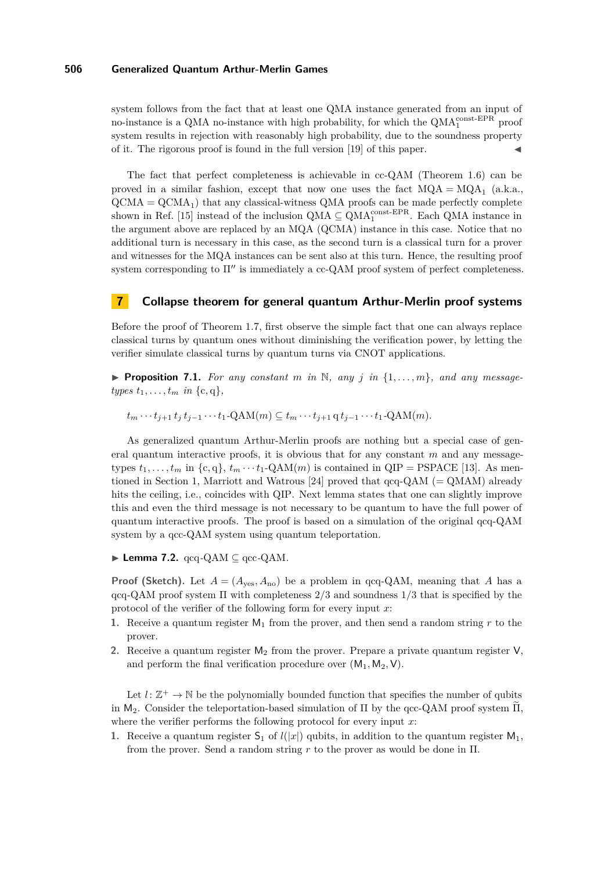system follows from the fact that at least one QMA instance generated from an input of no-instance is a QMA no-instance with high probability, for which the  $\text{QMA}_{1}^{\text{const-EPR}}$  proof system results in rejection with reasonably high probability, due to the soundness property of it. The rigorous proof is found in the full version [\[19\]](#page-21-14) of this paper. J

The fact that perfect completeness is achievable in cc-QAM (Theorem [1.6\)](#page-5-2) can be proved in a similar fashion, except that now one uses the fact  $MQA = MQA_1$  (a.k.a.,  $\text{QCMA} = \text{QCMA}_1$ ) that any classical-witness QMA proofs can be made perfectly complete shown in Ref. [\[15\]](#page-21-13) instead of the inclusion  $\text{QMA} \subseteq \text{QMA}_{1}^{\text{const-EPR}}$ . Each  $\text{QMA}$  instance in the argument above are replaced by an MQA (QCMA) instance in this case. Notice that no additional turn is necessary in this case, as the second turn is a classical turn for a prover and witnesses for the MQA instances can be sent also at this turn. Hence, the resulting proof system corresponding to  $\Pi''$  is immediately a cc-QAM proof system of perfect completeness.

## <span id="page-18-0"></span>**7 Collapse theorem for general quantum Arthur-Merlin proof systems**

Before the proof of Theorem [1.7,](#page-5-0) first observe the simple fact that one can always replace classical turns by quantum ones without diminishing the verification power, by letting the verifier simulate classical turns by quantum turns via CNOT applications.

<span id="page-18-2"></span>**Proposition 7.1.** For any constant  $m$  in  $\mathbb{N}$ , any  $j$  in  $\{1, \ldots, m\}$ , and any message*types*  $t_1, \ldots, t_m$  *in*  $\{c, q\}$ *,* 

 $t_m \cdots t_{i+1} t_i t_{i-1} \cdots t_1$ -QAM $(m) \subseteq t_m \cdots t_{i+1} q t_{i-1} \cdots t_1$ -QAM $(m)$ .

As generalized quantum Arthur-Merlin proofs are nothing but a special case of general quantum interactive proofs, it is obvious that for any constant *m* and any messagetypes  $t_1, \ldots, t_m$  in  $\{c, q\}, t_m \cdots t_1$ -QAM $(m)$  is contained in QIP = PSPACE [\[13\]](#page-21-6). As men-tioned in Section [1,](#page-1-0) Marriott and Watrous [\[24\]](#page-21-9) proved that  $qqq-QAM$  (= QMAM) already hits the ceiling, i.e., coincides with QIP. Next lemma states that one can slightly improve this and even the third message is not necessary to be quantum to have the full power of quantum interactive proofs. The proof is based on a simulation of the original qcq-QAM system by a qcc-QAM system using quantum teleportation.

<span id="page-18-1"></span> $\blacktriangleright$  **Lemma 7.2.** qcq-QAM  $\subseteq$  qcc-QAM.

**Proof (Sketch).** Let  $A = (A_{\text{ves}}, A_{\text{no}})$  be a problem in qcq-QAM, meaning that *A* has a qcq-QAM proof system Π with completeness 2*/*3 and soundness 1*/*3 that is specified by the protocol of the verifier of the following form for every input *x*:

- **1.** Receive a quantum register  $M_1$  from the prover, and then send a random string r to the prover.
- **2.** Receive a quantum register  $M_2$  from the prover. Prepare a private quantum register  $V$ , and perform the final verification procedure over  $(M_1, M_2, V)$ .

Let  $l: \mathbb{Z}^+ \to \mathbb{N}$  be the polynomially bounded function that specifies the number of qubits in  $M_2$ . Consider the teleportation-based simulation of  $\Pi$  by the qcc-QAM proof system  $\tilde{\Pi}$ , where the verifier performs the following protocol for every input *x*:

**1.** Receive a quantum register  $S_1$  of  $l(|x|)$  qubits, in addition to the quantum register  $M_1$ , from the prover. Send a random string *r* to the prover as would be done in Π.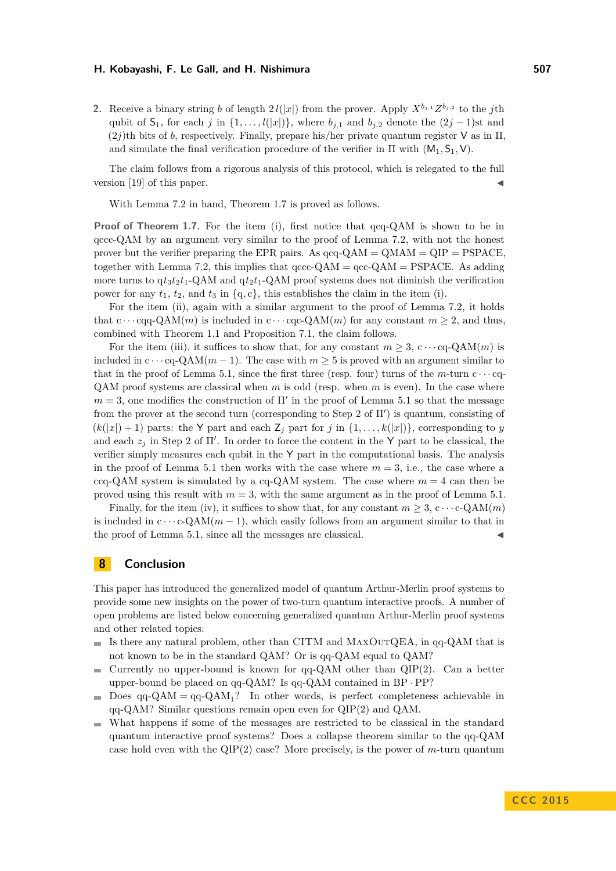**2.** Receive a binary string *b* of length  $2l(|x|)$  from the prover. Apply  $X^{b_{j,1}}Z^{b_{j,2}}$  to the *j*th qubit of  $S_1$ , for each *j* in  $\{1, \ldots, l(|x|)\}$ , where  $b_{j,1}$  and  $b_{j,2}$  denote the  $(2j-1)$ st and  $(2j)$ th bits of *b*, respectively. Finally, prepare his/her private quantum register **V** as in  $\Pi$ . and simulate the final verification procedure of the verifier in  $\Pi$  with  $(M_1, S_1, V)$ .

The claim follows from a rigorous analysis of this protocol, which is relegated to the full version  $[19]$  of this paper.

With Lemma [7.2](#page-18-1) in hand, Theorem [1.7](#page-5-0) is proved as follows.

**Proof of Theorem [1.7.](#page-5-0)** For the item (i), first notice that  $qqq-QAM$  is shown to be in qccc-QAM by an argument very similar to the proof of Lemma [7.2,](#page-18-1) with not the honest prover but the verifier preparing the EPR pairs. As  $qcq-QAM = QMAN = QIP = PSPACE$ , together with Lemma [7.2,](#page-18-1) this implies that  $qccc-QAM = qcc-QAM = PSPACE$ . As adding more turns to  $q t_3 t_2 t_1$ -QAM and  $q t_2 t_1$ -QAM proof systems does not diminish the verification power for any  $t_1$ ,  $t_2$ , and  $t_3$  in  $\{q, c\}$ , this establishes the claim in the item (i).

For the item (ii), again with a similar argument to the proof of Lemma [7.2,](#page-18-1) it holds that  $c \cdots$  cqq-QAM $(m)$  is included in  $c \cdots$  cqc-QAM $(m)$  for any constant  $m \geq 2$ , and thus, combined with Theorem [1.1](#page-3-0) and Proposition [7.1,](#page-18-2) the claim follows.

For the item (iii), it suffices to show that, for any constant  $m \geq 3$ ,  $c \cdots cq$ -QAM $(m)$  is included in  $c \cdots cq\text{-}QAM(m-1)$ . The case with  $m \geq 5$  is proved with an argument similar to that in the proof of Lemma [5.1,](#page-13-1) since the first three (resp. four) turns of the  $m$ -turn  $c \cdots cq$ QAM proof systems are classical when *m* is odd (resp. when *m* is even). In the case where  $m = 3$ , one modifies the construction of  $\Pi'$  in the proof of Lemma [5.1](#page-13-1) so that the message from the prover at the second turn (corresponding to Step 2 of  $\Pi'$ ) is quantum, consisting of  $(k(|x|) + 1)$  parts: the Y part and each  $\mathbb{Z}_j$  part for *j* in  $\{1, \ldots, k(|x|)\}\$ , corresponding to *y* and each  $z_j$  in Step 2 of  $\Pi'$ . In order to force the content in the Y part to be classical, the verifier simply measures each qubit in the Y part in the computational basis. The analysis in the proof of Lemma [5.1](#page-13-1) then works with the case where  $m = 3$ , i.e., the case where a ccq-QAM system is simulated by a cq-QAM system. The case where  $m = 4$  can then be proved using this result with  $m = 3$ , with the same argument as in the proof of Lemma [5.1.](#page-13-1)

Finally, for the item (iv), it suffices to show that, for any constant  $m > 3$ , c $\cdots$ c-QAM $(m)$ is included in  $c \cdots c\text{-}QAM(m-1)$ , which easily follows from an argument similar to that in the proof of Lemma [5.1,](#page-13-1) since all the messages are classical.

## <span id="page-19-0"></span>**8 Conclusion**

This paper has introduced the generalized model of quantum Arthur-Merlin proof systems to provide some new insights on the power of two-turn quantum interactive proofs. A number of open problems are listed below concerning generalized quantum Arthur-Merlin proof systems and other related topics:

- $\blacksquare$  Is there any natural problem, other than CITM and MAXOUTQEA, in qq-QAM that is not known to be in the standard QAM? Or is qq-QAM equal to QAM?
- Currently no upper-bound is known for  $qq-QAM$  other than  $QIP(2)$ . Can a better  $\sim$ upper-bound be placed on qq-QAM? Is qq-QAM contained in BP · PP?
- Does  $qq-QAM = qq-QAM_1$ ? In other words, is perfect completeness achievable in  $\blacksquare$ qq-QAM? Similar questions remain open even for QIP(2) and QAM.
- What happens if some of the messages are restricted to be classical in the standard quantum interactive proof systems? Does a collapse theorem similar to the qq-QAM case hold even with the QIP(2) case? More precisely, is the power of *m*-turn quantum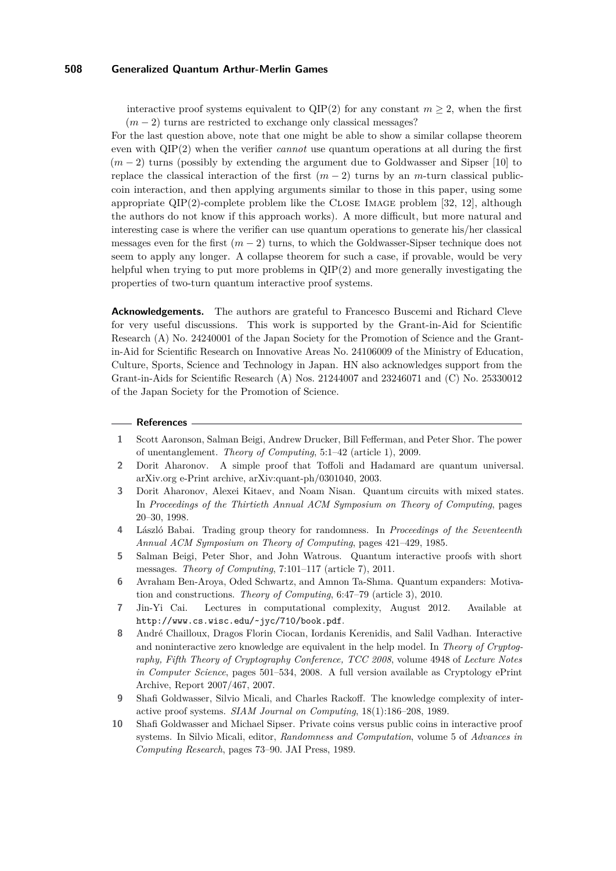interactive proof systems equivalent to  $QIP(2)$  for any constant  $m \geq 2$ , when the first  $(m-2)$  turns are restricted to exchange only classical messages?

For the last question above, note that one might be able to show a similar collapse theorem even with QIP(2) when the verifier *cannot* use quantum operations at all during the first (*m* − 2) turns (possibly by extending the argument due to Goldwasser and Sipser [\[10\]](#page-20-2) to replace the classical interaction of the first  $(m-2)$  turns by an *m*-turn classical publiccoin interaction, and then applying arguments similar to those in this paper, using some appropriate  $QIP(2)$ -complete problem like the CLOSE IMAGE problem [\[32,](#page-22-3) [12\]](#page-21-8), although the authors do not know if this approach works). A more difficult, but more natural and interesting case is where the verifier can use quantum operations to generate his/her classical messages even for the first  $(m - 2)$  turns, to which the Goldwasser-Sipser technique does not seem to apply any longer. A collapse theorem for such a case, if provable, would be very helpful when trying to put more problems in  $QIP(2)$  and more generally investigating the properties of two-turn quantum interactive proof systems.

**Acknowledgements.** The authors are grateful to Francesco Buscemi and Richard Cleve for very useful discussions. This work is supported by the Grant-in-Aid for Scientific Research (A) No. 24240001 of the Japan Society for the Promotion of Science and the Grantin-Aid for Scientific Research on Innovative Areas No. 24106009 of the Ministry of Education, Culture, Sports, Science and Technology in Japan. HN also acknowledges support from the Grant-in-Aids for Scientific Research (A) Nos. 21244007 and 23246071 and (C) No. 25330012 of the Japan Society for the Promotion of Science.

#### **References**

- <span id="page-20-8"></span>**1** Scott Aaronson, Salman Beigi, Andrew Drucker, Bill Fefferman, and Peter Shor. The power of unentanglement. *Theory of Computing*, 5:1–42 (article 1), 2009.
- <span id="page-20-6"></span>**2** Dorit Aharonov. A simple proof that Toffoli and Hadamard are quantum universal. arXiv.org e-Print archive, arXiv:quant-ph/0301040, 2003.
- <span id="page-20-7"></span>**3** Dorit Aharonov, Alexei Kitaev, and Noam Nisan. Quantum circuits with mixed states. In *Proceedings of the Thirtieth Annual ACM Symposium on Theory of Computing*, pages 20–30, 1998.
- <span id="page-20-1"></span>**4** László Babai. Trading group theory for randomness. In *Proceedings of the Seventeenth Annual ACM Symposium on Theory of Computing*, pages 421–429, 1985.
- <span id="page-20-9"></span>**5** Salman Beigi, Peter Shor, and John Watrous. Quantum interactive proofs with short messages. *Theory of Computing*, 7:101–117 (article 7), 2011.
- <span id="page-20-4"></span>**6** Avraham Ben-Aroya, Oded Schwartz, and Amnon Ta-Shma. Quantum expanders: Motivation and constructions. *Theory of Computing*, 6:47–79 (article 3), 2010.
- <span id="page-20-5"></span>**7** Jin-Yi Cai. Lectures in computational complexity, August 2012. Available at http://www.cs.wisc.edu/~jyc/710/book.pdf.
- <span id="page-20-3"></span>**8** André Chailloux, Dragos Florin Ciocan, Iordanis Kerenidis, and Salil Vadhan. Interactive and noninteractive zero knowledge are equivalent in the help model. In *Theory of Cryptography, Fifth Theory of Cryptography Conference, TCC 2008*, volume 4948 of *Lecture Notes in Computer Science*, pages 501–534, 2008. A full version available as Cryptology ePrint Archive, Report 2007/467, 2007.
- <span id="page-20-0"></span>**9** Shafi Goldwasser, Silvio Micali, and Charles Rackoff. The knowledge complexity of interactive proof systems. *SIAM Journal on Computing*, 18(1):186–208, 1989.
- <span id="page-20-2"></span>**10** Shafi Goldwasser and Michael Sipser. Private coins versus public coins in interactive proof systems. In Silvio Micali, editor, *Randomness and Computation*, volume 5 of *Advances in Computing Research*, pages 73–90. JAI Press, 1989.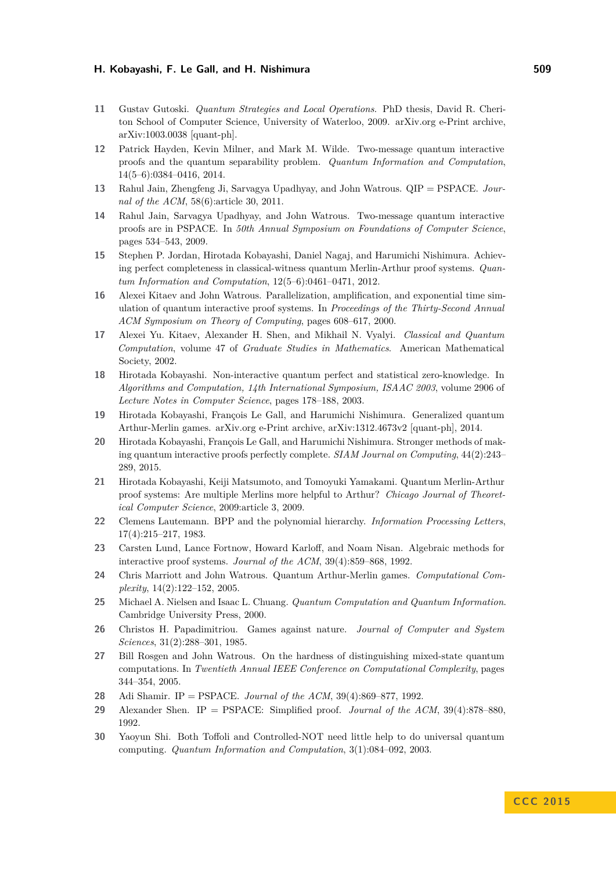- <span id="page-21-18"></span>**11** Gustav Gutoski. *Quantum Strategies and Local Operations*. PhD thesis, David R. Cheriton School of Computer Science, University of Waterloo, 2009. arXiv.org e-Print archive, arXiv:1003.0038 [quant-ph].
- <span id="page-21-8"></span>**12** Patrick Hayden, Kevin Milner, and Mark M. Wilde. Two-message quantum interactive proofs and the quantum separability problem. *Quantum Information and Computation*, 14(5–6):0384–0416, 2014.
- <span id="page-21-6"></span>**13** Rahul Jain, Zhengfeng Ji, Sarvagya Upadhyay, and John Watrous. QIP = PSPACE. *Journal of the ACM*, 58(6):article 30, 2011.
- <span id="page-21-7"></span>**14** Rahul Jain, Sarvagya Upadhyay, and John Watrous. Two-message quantum interactive proofs are in PSPACE. In *50th Annual Symposium on Foundations of Computer Science*, pages 534–543, 2009.
- <span id="page-21-13"></span>**15** Stephen P. Jordan, Hirotada Kobayashi, Daniel Nagaj, and Harumichi Nishimura. Achieving perfect completeness in classical-witness quantum Merlin-Arthur proof systems. *Quantum Information and Computation*, 12(5–6):0461–0471, 2012.
- <span id="page-21-5"></span>**16** Alexei Kitaev and John Watrous. Parallelization, amplification, and exponential time simulation of quantum interactive proof systems. In *Proceedings of the Thirty-Second Annual ACM Symposium on Theory of Computing*, pages 608–617, 2000.
- <span id="page-21-16"></span>**17** Alexei Yu. Kitaev, Alexander H. Shen, and Mikhail N. Vyalyi. *Classical and Quantum Computation*, volume 47 of *Graduate Studies in Mathematics*. American Mathematical Society, 2002.
- <span id="page-21-11"></span>**18** Hirotada Kobayashi. Non-interactive quantum perfect and statistical zero-knowledge. In *Algorithms and Computation, 14th International Symposium, ISAAC 2003*, volume 2906 of *Lecture Notes in Computer Science*, pages 178–188, 2003.
- <span id="page-21-14"></span>**19** Hirotada Kobayashi, François Le Gall, and Harumichi Nishimura. Generalized quantum Arthur-Merlin games. arXiv.org e-Print archive, arXiv:1312.4673v2 [quant-ph], 2014.
- <span id="page-21-12"></span>**20** Hirotada Kobayashi, François Le Gall, and Harumichi Nishimura. Stronger methods of making quantum interactive proofs perfectly complete. *SIAM Journal on Computing*, 44(2):243– 289, 2015.
- <span id="page-21-19"></span>**21** Hirotada Kobayashi, Keiji Matsumoto, and Tomoyuki Yamakami. Quantum Merlin-Arthur proof systems: Are multiple Merlins more helpful to Arthur? *Chicago Journal of Theoretical Computer Science*, 2009:article 3, 2009.
- <span id="page-21-0"></span>**22** Clemens Lautemann. BPP and the polynomial hierarchy. *Information Processing Letters*, 17(4):215–217, 1983.
- <span id="page-21-2"></span>**23** Carsten Lund, Lance Fortnow, Howard Karloff, and Noam Nisan. Algebraic methods for interactive proof systems. *Journal of the ACM*, 39(4):859–868, 1992.
- <span id="page-21-9"></span>**24** Chris Marriott and John Watrous. Quantum Arthur-Merlin games. *Computational Complexity*, 14(2):122–152, 2005.
- <span id="page-21-15"></span>**25** Michael A. Nielsen and Isaac L. Chuang. *Quantum Computation and Quantum Information*. Cambridge University Press, 2000.
- <span id="page-21-1"></span>**26** Christos H. Papadimitriou. Games against nature. *Journal of Computer and System Sciences*, 31(2):288–301, 1985.
- <span id="page-21-10"></span>**27** Bill Rosgen and John Watrous. On the hardness of distinguishing mixed-state quantum computations. In *Twentieth Annual IEEE Conference on Computational Complexity*, pages 344–354, 2005.
- <span id="page-21-3"></span>**28** Adi Shamir. IP = PSPACE. *Journal of the ACM*, 39(4):869–877, 1992.
- <span id="page-21-4"></span>**29** Alexander Shen. IP = PSPACE: Simplified proof. *Journal of the ACM*, 39(4):878–880, 1992.
- <span id="page-21-17"></span>**30** Yaoyun Shi. Both Toffoli and Controlled-NOT need little help to do universal quantum computing. *Quantum Information and Computation*, 3(1):084–092, 2003.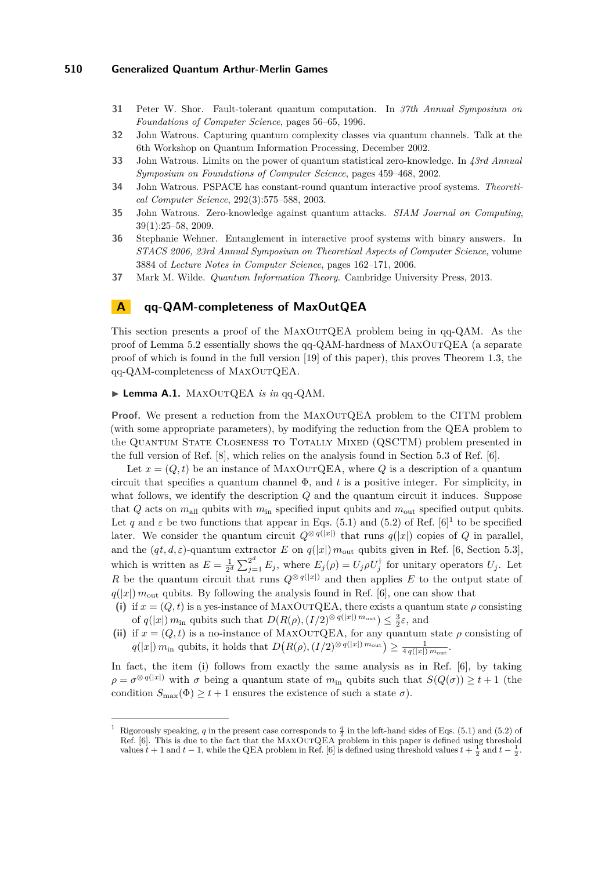- <span id="page-22-6"></span>**31** Peter W. Shor. Fault-tolerant quantum computation. In *37th Annual Symposium on Foundations of Computer Science*, pages 56–65, 1996.
- <span id="page-22-3"></span>**32** John Watrous. Capturing quantum complexity classes via quantum channels. Talk at the 6th Workshop on Quantum Information Processing, December 2002.
- <span id="page-22-1"></span>**33** John Watrous. Limits on the power of quantum statistical zero-knowledge. In *43rd Annual Symposium on Foundations of Computer Science*, pages 459–468, 2002.
- <span id="page-22-0"></span>**34** John Watrous. PSPACE has constant-round quantum interactive proof systems. *Theoretical Computer Science*, 292(3):575–588, 2003.
- <span id="page-22-4"></span>**35** John Watrous. Zero-knowledge against quantum attacks. *SIAM Journal on Computing*, 39(1):25–58, 2009.
- <span id="page-22-2"></span>**36** Stephanie Wehner. Entanglement in interactive proof systems with binary answers. In *STACS 2006, 23rd Annual Symposium on Theoretical Aspects of Computer Science*, volume 3884 of *Lecture Notes in Computer Science*, pages 162–171, 2006.
- <span id="page-22-5"></span>**37** Mark M. Wilde. *Quantum Information Theory*. Cambridge University Press, 2013.

## <span id="page-22-7"></span>**A qq-QAM-completeness of MaxOutQEA**

This section presents a proof of the MaxOutQEA problem being in qq-QAM. As the proof of Lemma [5.2](#page-14-1) essentially shows the qq-QAM-hardness of MaxOutQEA (a separate proof of which is found in the full version [\[19\]](#page-21-14) of this paper), this proves Theorem [1.3,](#page-4-0) the qq-QAM-completeness of MaxOutQEA.

#### ▶ Lemma A.1. MAXOUTQEA *is in* qq-QAM.

**Proof.** We present a reduction from the MAXOUTQEA problem to the CITM problem (with some appropriate parameters), by modifying the reduction from the QEA problem to the QUANTUM STATE CLOSENESS TO TOTALLY MIXED (QSCTM) problem presented in the full version of Ref. [\[8\]](#page-20-3), which relies on the analysis found in Section 5.3 of Ref. [\[6\]](#page-20-4).

Let  $x = (Q, t)$  be an instance of MAXOUTQEA, where Q is a description of a quantum circuit that specifies a quantum channel Φ, and *t* is a positive integer. For simplicity, in what follows, we identify the description *Q* and the quantum circuit it induces. Suppose that *Q* acts on  $m_{\text{all}}$  qubits with  $m_{\text{in}}$  specified input qubits and  $m_{\text{out}}$  specified output qubits. Let q and  $\varepsilon$  be two functions that appear in Eqs. (5.1) and (5.2) of Ref. [\[6\]](#page-20-4)<sup>[1](#page-22-8)</sup> to be specified later. We consider the quantum circuit  $Q^{\otimes q(|x|)}$  that runs  $q(|x|)$  copies of *Q* in parallel, and the  $(qt, d, \varepsilon)$ -quantum extractor *E* on  $q(|x|)$   $m_{\text{out}}$  qubits given in Ref. [\[6,](#page-20-4) Section 5.3], which is written as  $E = \frac{1}{2^d} \sum_{j=1}^{2^d} E_j$ , where  $E_j(\rho) = U_j \rho U_j^{\dagger}$  for unitary operators  $U_j$ . Let *R* be the quantum circuit that runs  $Q^{\otimes q(|x|)}$  and then applies *E* to the output state of  $q(|x|)$  *m*<sub>out</sub> qubits. By following the analysis found in Ref. [\[6\]](#page-20-4), one can show that

- (i) if  $x = (Q, t)$  is a yes-instance of MAXOUTQEA, there exists a quantum state  $\rho$  consisting of  $q(|x|) m_{\text{in}}$  qubits such that  $D(R(\rho), (I/2)^{\otimes q(|x|)} m_{\text{out}}) \leq \frac{3}{2}\varepsilon$ , and
- (ii) if  $x = (Q, t)$  is a no-instance of MAXOUTQEA, for any quantum state  $\rho$  consisting of  $q(|x|) m_{\text{in}}$  qubits, it holds that  $D(R(\rho), (I/2)^{\otimes q(|x|)} m_{\text{out}}) \geq \frac{1}{4 q(|x|) m_{\text{out}}}$ .

In fact, the item (i) follows from exactly the same analysis as in Ref. [\[6\]](#page-20-4), by taking  $\rho = \sigma^{\otimes q(|x|)}$  with  $\sigma$  being a quantum state of  $m_{\text{in}}$  qubits such that  $S(Q(\sigma)) \geq t+1$  (the condition  $S_{\text{max}}(\Phi) \geq t+1$  ensures the existence of such a state  $\sigma$ ).

<span id="page-22-8"></span><sup>&</sup>lt;sup>1</sup> Rigorously speaking, *q* in the present case corresponds to  $\frac{q}{2}$  in the left-hand sides of Eqs. (5.1) and (5.2) of Ref. [\[6\]](#page-20-4). This is due to the fact that the MaxOutQEA problem in this paper is defined using threshold values  $t + 1$  and  $t - 1$ , while the QEA problem in Ref. [\[6\]](#page-20-4) is defined using threshold values  $t + \frac{1}{2}$  and  $t - \frac{1}{2}$ .